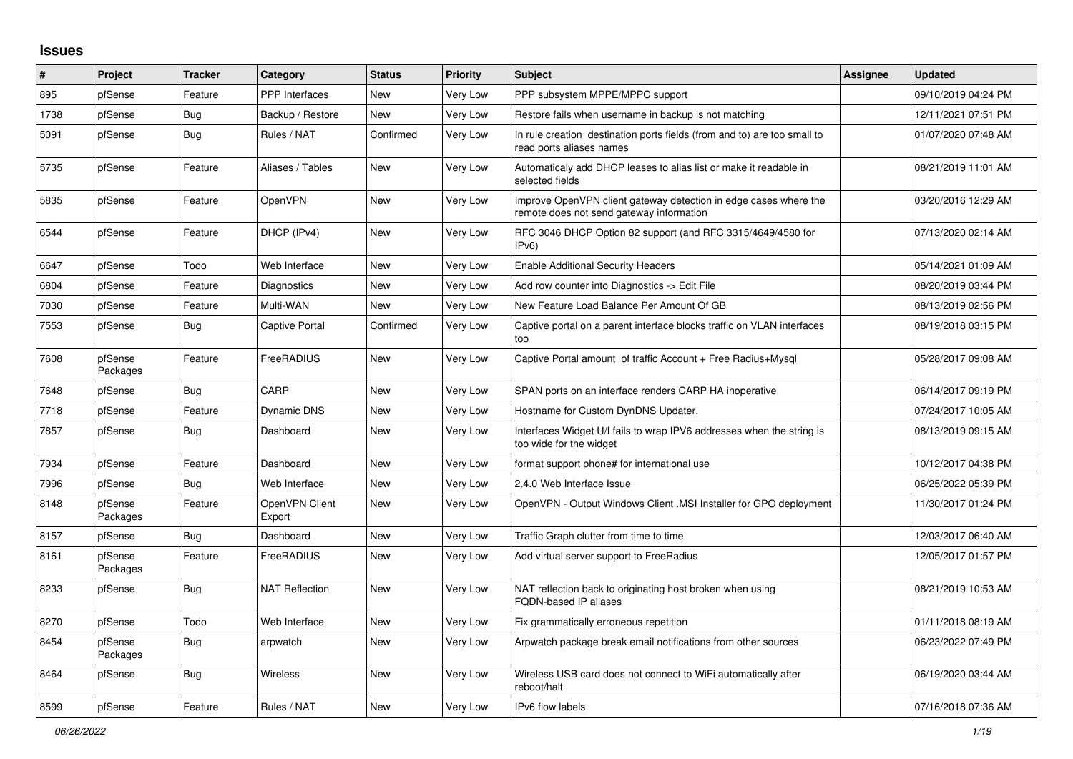## **Issues**

| #    | Project             | <b>Tracker</b> | Category                 | <b>Status</b> | <b>Priority</b> | <b>Subject</b>                                                                                               | Assignee | <b>Updated</b>      |
|------|---------------------|----------------|--------------------------|---------------|-----------------|--------------------------------------------------------------------------------------------------------------|----------|---------------------|
| 895  | pfSense             | Feature        | <b>PPP</b> Interfaces    | <b>New</b>    | Very Low        | PPP subsystem MPPE/MPPC support                                                                              |          | 09/10/2019 04:24 PM |
| 1738 | pfSense             | Bug            | Backup / Restore         | New           | Very Low        | Restore fails when username in backup is not matching                                                        |          | 12/11/2021 07:51 PM |
| 5091 | pfSense             | <b>Bug</b>     | Rules / NAT              | Confirmed     | Very Low        | In rule creation destination ports fields (from and to) are too small to<br>read ports aliases names         |          | 01/07/2020 07:48 AM |
| 5735 | pfSense             | Feature        | Aliases / Tables         | <b>New</b>    | Very Low        | Automaticaly add DHCP leases to alias list or make it readable in<br>selected fields                         |          | 08/21/2019 11:01 AM |
| 5835 | pfSense             | Feature        | OpenVPN                  | <b>New</b>    | Very Low        | Improve OpenVPN client gateway detection in edge cases where the<br>remote does not send gateway information |          | 03/20/2016 12:29 AM |
| 6544 | pfSense             | Feature        | DHCP (IPv4)              | <b>New</b>    | Very Low        | RFC 3046 DHCP Option 82 support (and RFC 3315/4649/4580 for<br>IPv <sub>6</sub> )                            |          | 07/13/2020 02:14 AM |
| 6647 | pfSense             | Todo           | Web Interface            | <b>New</b>    | Very Low        | <b>Enable Additional Security Headers</b>                                                                    |          | 05/14/2021 01:09 AM |
| 6804 | pfSense             | Feature        | Diagnostics              | New           | Very Low        | Add row counter into Diagnostics -> Edit File                                                                |          | 08/20/2019 03:44 PM |
| 7030 | pfSense             | Feature        | Multi-WAN                | New           | Very Low        | New Feature Load Balance Per Amount Of GB                                                                    |          | 08/13/2019 02:56 PM |
| 7553 | pfSense             | Bug            | Captive Portal           | Confirmed     | Very Low        | Captive portal on a parent interface blocks traffic on VLAN interfaces<br>too                                |          | 08/19/2018 03:15 PM |
| 7608 | pfSense<br>Packages | Feature        | FreeRADIUS               | New           | Very Low        | Captive Portal amount of traffic Account + Free Radius+Mysql                                                 |          | 05/28/2017 09:08 AM |
| 7648 | pfSense             | Bug            | CARP                     | New           | Very Low        | SPAN ports on an interface renders CARP HA inoperative                                                       |          | 06/14/2017 09:19 PM |
| 7718 | pfSense             | Feature        | <b>Dynamic DNS</b>       | New           | Very Low        | Hostname for Custom DynDNS Updater.                                                                          |          | 07/24/2017 10:05 AM |
| 7857 | pfSense             | Bug            | Dashboard                | New           | Very Low        | Interfaces Widget U/I fails to wrap IPV6 addresses when the string is<br>too wide for the widget             |          | 08/13/2019 09:15 AM |
| 7934 | pfSense             | Feature        | Dashboard                | <b>New</b>    | Very Low        | format support phone# for international use                                                                  |          | 10/12/2017 04:38 PM |
| 7996 | pfSense             | <b>Bug</b>     | Web Interface            | <b>New</b>    | Very Low        | 2.4.0 Web Interface Issue                                                                                    |          | 06/25/2022 05:39 PM |
| 8148 | pfSense<br>Packages | Feature        | OpenVPN Client<br>Export | New           | Very Low        | OpenVPN - Output Windows Client .MSI Installer for GPO deployment                                            |          | 11/30/2017 01:24 PM |
| 8157 | pfSense             | <b>Bug</b>     | Dashboard                | New           | Very Low        | Traffic Graph clutter from time to time                                                                      |          | 12/03/2017 06:40 AM |
| 8161 | pfSense<br>Packages | Feature        | FreeRADIUS               | New           | Very Low        | Add virtual server support to FreeRadius                                                                     |          | 12/05/2017 01:57 PM |
| 8233 | pfSense             | <b>Bug</b>     | <b>NAT Reflection</b>    | <b>New</b>    | Very Low        | NAT reflection back to originating host broken when using<br>FQDN-based IP aliases                           |          | 08/21/2019 10:53 AM |
| 8270 | pfSense             | Todo           | Web Interface            | <b>New</b>    | Very Low        | Fix grammatically erroneous repetition                                                                       |          | 01/11/2018 08:19 AM |
| 8454 | pfSense<br>Packages | Bug            | arpwatch                 | <b>New</b>    | Very Low        | Arpwatch package break email notifications from other sources                                                |          | 06/23/2022 07:49 PM |
| 8464 | pfSense             | <b>Bug</b>     | <b>Wireless</b>          | <b>New</b>    | Very Low        | Wireless USB card does not connect to WiFi automatically after<br>reboot/halt                                |          | 06/19/2020 03:44 AM |
| 8599 | pfSense             | Feature        | Rules / NAT              | <b>New</b>    | Very Low        | IPv6 flow labels                                                                                             |          | 07/16/2018 07:36 AM |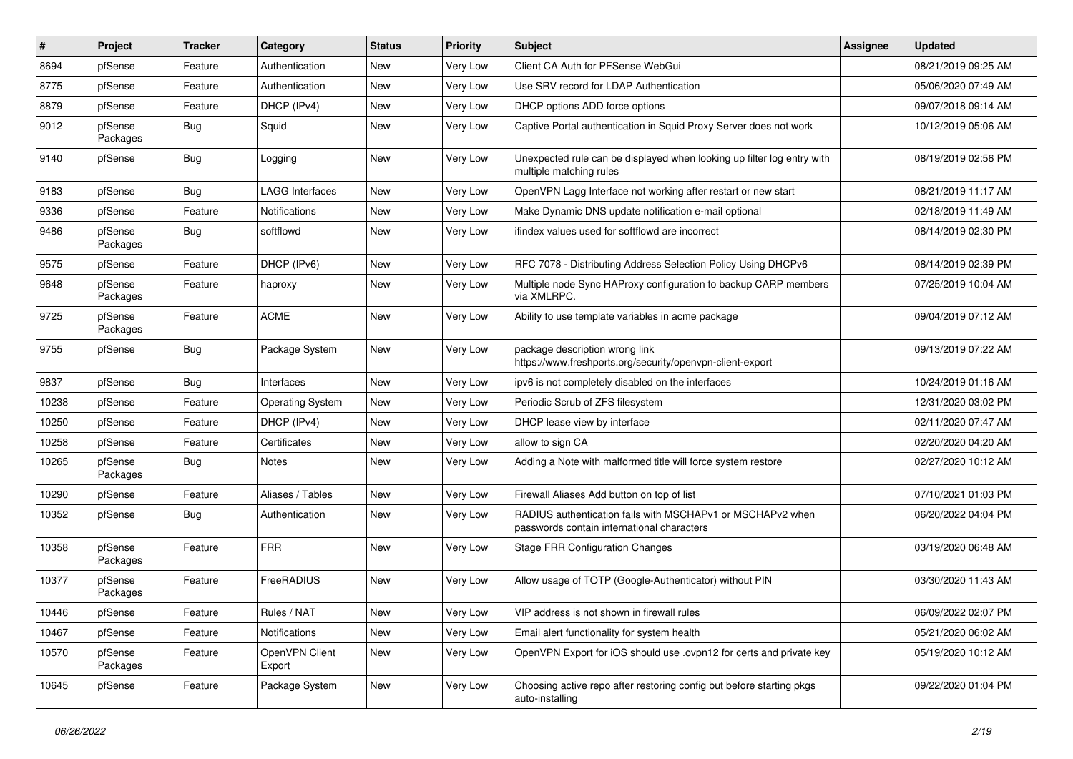| #     | Project             | Tracker    | Category                 | <b>Status</b> | <b>Priority</b> | <b>Subject</b>                                                                                           | <b>Assignee</b> | <b>Updated</b>      |
|-------|---------------------|------------|--------------------------|---------------|-----------------|----------------------------------------------------------------------------------------------------------|-----------------|---------------------|
| 8694  | pfSense             | Feature    | Authentication           | New           | Very Low        | Client CA Auth for PFSense WebGui                                                                        |                 | 08/21/2019 09:25 AM |
| 8775  | pfSense             | Feature    | Authentication           | <b>New</b>    | Very Low        | Use SRV record for LDAP Authentication                                                                   |                 | 05/06/2020 07:49 AM |
| 8879  | pfSense             | Feature    | DHCP (IPv4)              | New           | Very Low        | DHCP options ADD force options                                                                           |                 | 09/07/2018 09:14 AM |
| 9012  | pfSense<br>Packages | <b>Bug</b> | Squid                    | New           | Very Low        | Captive Portal authentication in Squid Proxy Server does not work                                        |                 | 10/12/2019 05:06 AM |
| 9140  | pfSense             | <b>Bug</b> | Logging                  | New           | Very Low        | Unexpected rule can be displayed when looking up filter log entry with<br>multiple matching rules        |                 | 08/19/2019 02:56 PM |
| 9183  | pfSense             | <b>Bug</b> | <b>LAGG Interfaces</b>   | <b>New</b>    | Very Low        | OpenVPN Lagg Interface not working after restart or new start                                            |                 | 08/21/2019 11:17 AM |
| 9336  | pfSense             | Feature    | Notifications            | New           | Very Low        | Make Dynamic DNS update notification e-mail optional                                                     |                 | 02/18/2019 11:49 AM |
| 9486  | pfSense<br>Packages | <b>Bug</b> | softflowd                | New           | Very Low        | ifindex values used for softflowd are incorrect                                                          |                 | 08/14/2019 02:30 PM |
| 9575  | pfSense             | Feature    | DHCP (IPv6)              | New           | Very Low        | RFC 7078 - Distributing Address Selection Policy Using DHCPv6                                            |                 | 08/14/2019 02:39 PM |
| 9648  | pfSense<br>Packages | Feature    | haproxy                  | New           | Very Low        | Multiple node Sync HAProxy configuration to backup CARP members<br>via XMLRPC.                           |                 | 07/25/2019 10:04 AM |
| 9725  | pfSense<br>Packages | Feature    | <b>ACME</b>              | New           | Very Low        | Ability to use template variables in acme package                                                        |                 | 09/04/2019 07:12 AM |
| 9755  | pfSense             | <b>Bug</b> | Package System           | New           | Very Low        | package description wrong link<br>https://www.freshports.org/security/openvpn-client-export              |                 | 09/13/2019 07:22 AM |
| 9837  | pfSense             | <b>Bug</b> | Interfaces               | New           | Very Low        | ipv6 is not completely disabled on the interfaces                                                        |                 | 10/24/2019 01:16 AM |
| 10238 | pfSense             | Feature    | <b>Operating System</b>  | New           | Very Low        | Periodic Scrub of ZFS filesystem                                                                         |                 | 12/31/2020 03:02 PM |
| 10250 | pfSense             | Feature    | DHCP (IPv4)              | New           | Very Low        | DHCP lease view by interface                                                                             |                 | 02/11/2020 07:47 AM |
| 10258 | pfSense             | Feature    | Certificates             | New           | Very Low        | allow to sign CA                                                                                         |                 | 02/20/2020 04:20 AM |
| 10265 | pfSense<br>Packages | <b>Bug</b> | Notes                    | New           | Very Low        | Adding a Note with malformed title will force system restore                                             |                 | 02/27/2020 10:12 AM |
| 10290 | pfSense             | Feature    | Aliases / Tables         | New           | Very Low        | Firewall Aliases Add button on top of list                                                               |                 | 07/10/2021 01:03 PM |
| 10352 | pfSense             | <b>Bug</b> | Authentication           | New           | Very Low        | RADIUS authentication fails with MSCHAPv1 or MSCHAPv2 when<br>passwords contain international characters |                 | 06/20/2022 04:04 PM |
| 10358 | pfSense<br>Packages | Feature    | <b>FRR</b>               | New           | Very Low        | <b>Stage FRR Configuration Changes</b>                                                                   |                 | 03/19/2020 06:48 AM |
| 10377 | pfSense<br>Packages | Feature    | FreeRADIUS               | New           | Very Low        | Allow usage of TOTP (Google-Authenticator) without PIN                                                   |                 | 03/30/2020 11:43 AM |
| 10446 | pfSense             | Feature    | Rules / NAT              | New           | Very Low        | VIP address is not shown in firewall rules                                                               |                 | 06/09/2022 02:07 PM |
| 10467 | pfSense             | Feature    | Notifications            | New           | Very Low        | Email alert functionality for system health                                                              |                 | 05/21/2020 06:02 AM |
| 10570 | pfSense<br>Packages | Feature    | OpenVPN Client<br>Export | New           | Very Low        | OpenVPN Export for iOS should use .ovpn12 for certs and private key                                      |                 | 05/19/2020 10:12 AM |
| 10645 | pfSense             | Feature    | Package System           | New           | Very Low        | Choosing active repo after restoring config but before starting pkgs<br>auto-installing                  |                 | 09/22/2020 01:04 PM |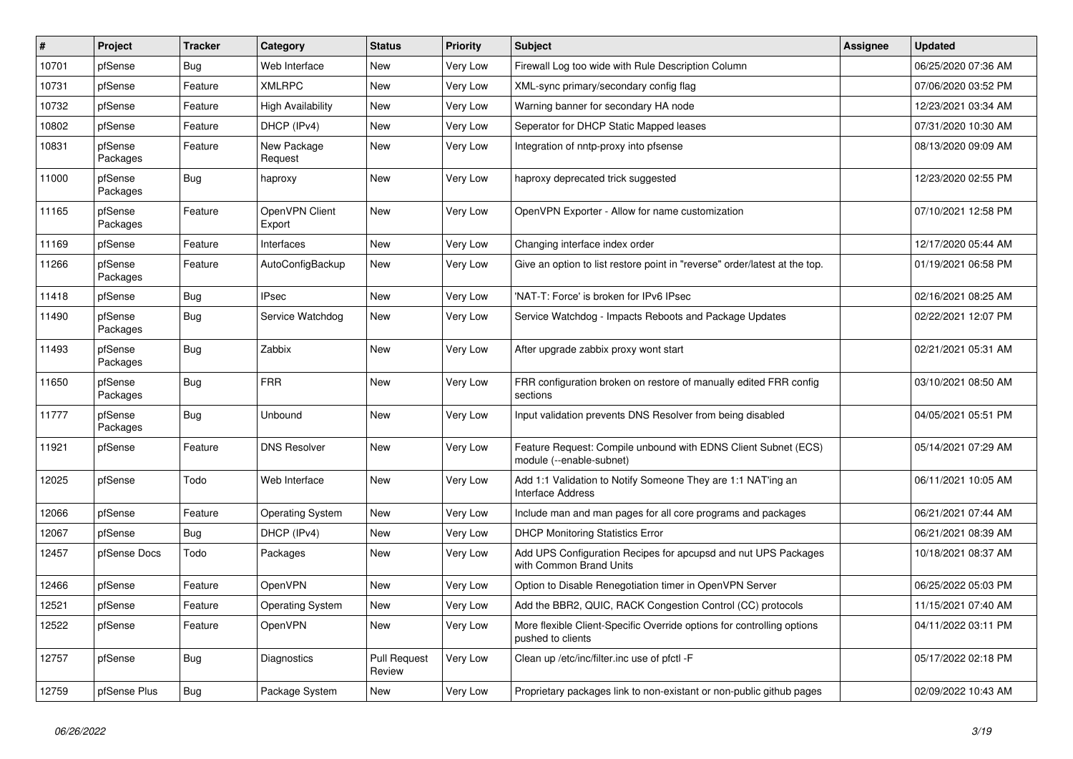| #     | Project             | <b>Tracker</b> | Category                 | <b>Status</b>                 | <b>Priority</b> | <b>Subject</b>                                                                              | Assignee | <b>Updated</b>      |
|-------|---------------------|----------------|--------------------------|-------------------------------|-----------------|---------------------------------------------------------------------------------------------|----------|---------------------|
| 10701 | pfSense             | <b>Bug</b>     | Web Interface            | <b>New</b>                    | Very Low        | Firewall Log too wide with Rule Description Column                                          |          | 06/25/2020 07:36 AM |
| 10731 | pfSense             | Feature        | <b>XMLRPC</b>            | <b>New</b>                    | Very Low        | XML-sync primary/secondary config flag                                                      |          | 07/06/2020 03:52 PM |
| 10732 | pfSense             | Feature        | <b>High Availability</b> | New                           | Very Low        | Warning banner for secondary HA node                                                        |          | 12/23/2021 03:34 AM |
| 10802 | pfSense             | Feature        | DHCP (IPv4)              | New                           | Very Low        | Seperator for DHCP Static Mapped leases                                                     |          | 07/31/2020 10:30 AM |
| 10831 | pfSense<br>Packages | Feature        | New Package<br>Request   | New                           | Very Low        | Integration of nntp-proxy into pfsense                                                      |          | 08/13/2020 09:09 AM |
| 11000 | pfSense<br>Packages | Bug            | haproxy                  | New                           | Very Low        | haproxy deprecated trick suggested                                                          |          | 12/23/2020 02:55 PM |
| 11165 | pfSense<br>Packages | Feature        | OpenVPN Client<br>Export | <b>New</b>                    | Very Low        | OpenVPN Exporter - Allow for name customization                                             |          | 07/10/2021 12:58 PM |
| 11169 | pfSense             | Feature        | Interfaces               | <b>New</b>                    | Very Low        | Changing interface index order                                                              |          | 12/17/2020 05:44 AM |
| 11266 | pfSense<br>Packages | Feature        | AutoConfigBackup         | New                           | Very Low        | Give an option to list restore point in "reverse" order/latest at the top.                  |          | 01/19/2021 06:58 PM |
| 11418 | pfSense             | <b>Bug</b>     | <b>IPsec</b>             | <b>New</b>                    | Very Low        | 'NAT-T: Force' is broken for IPv6 IPsec                                                     |          | 02/16/2021 08:25 AM |
| 11490 | pfSense<br>Packages | Bug            | Service Watchdog         | New                           | Very Low        | Service Watchdog - Impacts Reboots and Package Updates                                      |          | 02/22/2021 12:07 PM |
| 11493 | pfSense<br>Packages | <b>Bug</b>     | Zabbix                   | <b>New</b>                    | Very Low        | After upgrade zabbix proxy wont start                                                       |          | 02/21/2021 05:31 AM |
| 11650 | pfSense<br>Packages | <b>Bug</b>     | <b>FRR</b>               | <b>New</b>                    | Very Low        | FRR configuration broken on restore of manually edited FRR config<br>sections               |          | 03/10/2021 08:50 AM |
| 11777 | pfSense<br>Packages | Bug            | Unbound                  | New                           | Very Low        | Input validation prevents DNS Resolver from being disabled                                  |          | 04/05/2021 05:51 PM |
| 11921 | pfSense             | Feature        | <b>DNS Resolver</b>      | <b>New</b>                    | Very Low        | Feature Request: Compile unbound with EDNS Client Subnet (ECS)<br>module (--enable-subnet)  |          | 05/14/2021 07:29 AM |
| 12025 | pfSense             | Todo           | Web Interface            | New                           | Very Low        | Add 1:1 Validation to Notify Someone They are 1:1 NAT'ing an<br><b>Interface Address</b>    |          | 06/11/2021 10:05 AM |
| 12066 | pfSense             | Feature        | <b>Operating System</b>  | <b>New</b>                    | Very Low        | Include man and man pages for all core programs and packages                                |          | 06/21/2021 07:44 AM |
| 12067 | pfSense             | <b>Bug</b>     | DHCP (IPv4)              | <b>New</b>                    | Very Low        | <b>DHCP Monitoring Statistics Error</b>                                                     |          | 06/21/2021 08:39 AM |
| 12457 | pfSense Docs        | Todo           | Packages                 | New                           | Very Low        | Add UPS Configuration Recipes for apcupsd and nut UPS Packages<br>with Common Brand Units   |          | 10/18/2021 08:37 AM |
| 12466 | pfSense             | Feature        | <b>OpenVPN</b>           | <b>New</b>                    | Very Low        | Option to Disable Renegotiation timer in OpenVPN Server                                     |          | 06/25/2022 05:03 PM |
| 12521 | pfSense             | Feature        | <b>Operating System</b>  | New                           | Very Low        | Add the BBR2, QUIC, RACK Congestion Control (CC) protocols                                  |          | 11/15/2021 07:40 AM |
| 12522 | pfSense             | Feature        | OpenVPN                  | <b>New</b>                    | Very Low        | More flexible Client-Specific Override options for controlling options<br>pushed to clients |          | 04/11/2022 03:11 PM |
| 12757 | pfSense             | <b>Bug</b>     | Diagnostics              | <b>Pull Request</b><br>Review | Very Low        | Clean up /etc/inc/filter.inc use of pfctl -F                                                |          | 05/17/2022 02:18 PM |
| 12759 | pfSense Plus        | <b>Bug</b>     | Package System           | <b>New</b>                    | Very Low        | Proprietary packages link to non-existant or non-public github pages                        |          | 02/09/2022 10:43 AM |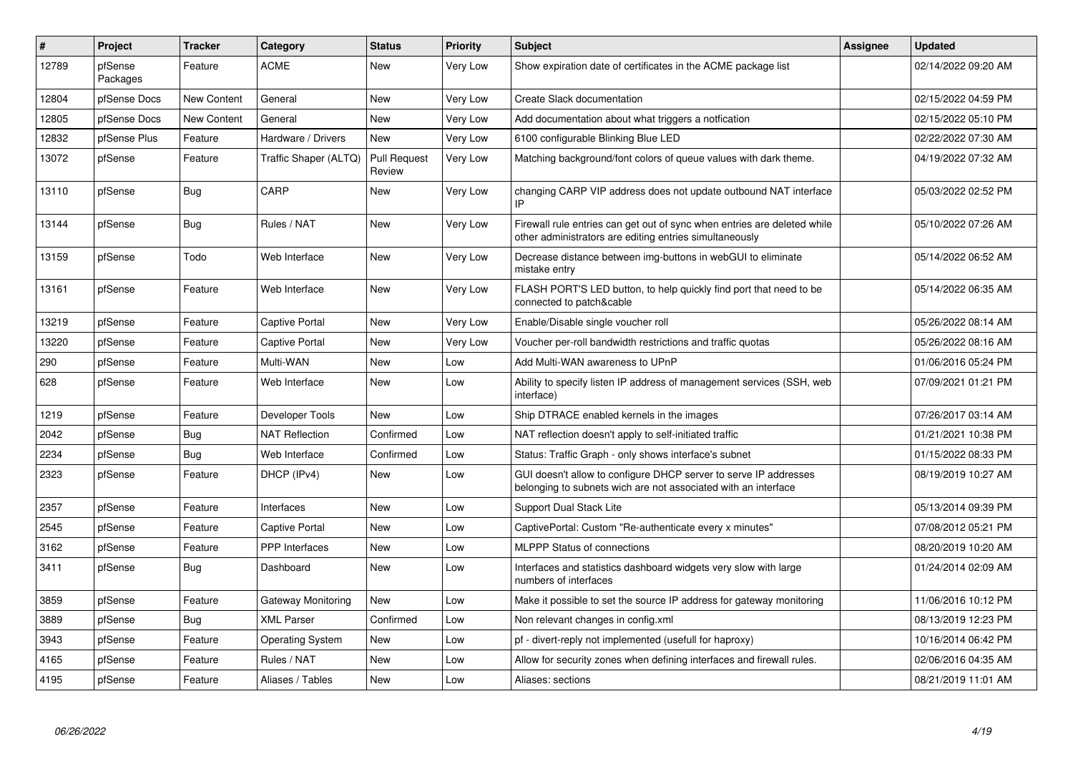| #     | Project             | <b>Tracker</b> | Category              | <b>Status</b>                 | <b>Priority</b> | <b>Subject</b>                                                                                                                      | Assignee | Updated             |
|-------|---------------------|----------------|-----------------------|-------------------------------|-----------------|-------------------------------------------------------------------------------------------------------------------------------------|----------|---------------------|
| 12789 | pfSense<br>Packages | Feature        | ACME                  | New                           | Very Low        | Show expiration date of certificates in the ACME package list                                                                       |          | 02/14/2022 09:20 AM |
| 12804 | pfSense Docs        | New Content    | General               | New                           | Very Low        | Create Slack documentation                                                                                                          |          | 02/15/2022 04:59 PM |
| 12805 | pfSense Docs        | New Content    | General               | New                           | Very Low        | Add documentation about what triggers a notfication                                                                                 |          | 02/15/2022 05:10 PM |
| 12832 | pfSense Plus        | Feature        | Hardware / Drivers    | <b>New</b>                    | Very Low        | 6100 configurable Blinking Blue LED                                                                                                 |          | 02/22/2022 07:30 AM |
| 13072 | pfSense             | Feature        | Traffic Shaper (ALTQ) | <b>Pull Request</b><br>Review | Very Low        | Matching background/font colors of queue values with dark theme.                                                                    |          | 04/19/2022 07:32 AM |
| 13110 | pfSense             | Bug            | CARP                  | <b>New</b>                    | Very Low        | changing CARP VIP address does not update outbound NAT interface                                                                    |          | 05/03/2022 02:52 PM |
| 13144 | pfSense             | Bug            | Rules / NAT           | <b>New</b>                    | Very Low        | Firewall rule entries can get out of sync when entries are deleted while<br>other administrators are editing entries simultaneously |          | 05/10/2022 07:26 AM |
| 13159 | pfSense             | Todo           | Web Interface         | New                           | Very Low        | Decrease distance between img-buttons in webGUI to eliminate<br>mistake entry                                                       |          | 05/14/2022 06:52 AM |
| 13161 | pfSense             | Feature        | Web Interface         | New                           | Very Low        | FLASH PORT'S LED button, to help quickly find port that need to be<br>connected to patch&cable                                      |          | 05/14/2022 06:35 AM |
| 13219 | pfSense             | Feature        | <b>Captive Portal</b> | <b>New</b>                    | Very Low        | Enable/Disable single voucher roll                                                                                                  |          | 05/26/2022 08:14 AM |
| 13220 | pfSense             | Feature        | Captive Portal        | New                           | Very Low        | Voucher per-roll bandwidth restrictions and traffic quotas                                                                          |          | 05/26/2022 08:16 AM |
| 290   | pfSense             | Feature        | Multi-WAN             | <b>New</b>                    | Low             | Add Multi-WAN awareness to UPnP                                                                                                     |          | 01/06/2016 05:24 PM |
| 628   | pfSense             | Feature        | Web Interface         | <b>New</b>                    | Low             | Ability to specify listen IP address of management services (SSH, web<br>interface)                                                 |          | 07/09/2021 01:21 PM |
| 1219  | pfSense             | Feature        | Developer Tools       | <b>New</b>                    | Low             | Ship DTRACE enabled kernels in the images                                                                                           |          | 07/26/2017 03:14 AM |
| 2042  | pfSense             | Bug            | <b>NAT Reflection</b> | Confirmed                     | Low             | NAT reflection doesn't apply to self-initiated traffic                                                                              |          | 01/21/2021 10:38 PM |
| 2234  | pfSense             | <b>Bug</b>     | Web Interface         | Confirmed                     | Low             | Status: Traffic Graph - only shows interface's subnet                                                                               |          | 01/15/2022 08:33 PM |
| 2323  | pfSense             | Feature        | DHCP (IPv4)           | New                           | Low             | GUI doesn't allow to configure DHCP server to serve IP addresses<br>belonging to subnets wich are not associated with an interface  |          | 08/19/2019 10:27 AM |
| 2357  | pfSense             | Feature        | Interfaces            | <b>New</b>                    | Low             | Support Dual Stack Lite                                                                                                             |          | 05/13/2014 09:39 PM |
| 2545  | pfSense             | Feature        | Captive Portal        | New                           | Low             | CaptivePortal: Custom "Re-authenticate every x minutes"                                                                             |          | 07/08/2012 05:21 PM |
| 3162  | pfSense             | Feature        | PPP Interfaces        | <b>New</b>                    | Low             | <b>MLPPP Status of connections</b>                                                                                                  |          | 08/20/2019 10:20 AM |
| 3411  | pfSense             | Bug            | Dashboard             | <b>New</b>                    | Low             | Interfaces and statistics dashboard widgets very slow with large<br>numbers of interfaces                                           |          | 01/24/2014 02:09 AM |
| 3859  | pfSense             | Feature        | Gateway Monitoring    | <b>New</b>                    | Low             | Make it possible to set the source IP address for gateway monitoring                                                                |          | 11/06/2016 10:12 PM |
| 3889  | pfSense             | Bug            | <b>XML Parser</b>     | Confirmed                     | Low             | Non relevant changes in config.xml                                                                                                  |          | 08/13/2019 12:23 PM |
| 3943  | pfSense             | Feature        | Operating System      | New                           | Low             | pf - divert-reply not implemented (usefull for haproxy)                                                                             |          | 10/16/2014 06:42 PM |
| 4165  | pfSense             | Feature        | Rules / NAT           | <b>New</b>                    | Low             | Allow for security zones when defining interfaces and firewall rules.                                                               |          | 02/06/2016 04:35 AM |
| 4195  | pfSense             | Feature        | Aliases / Tables      | New                           | Low             | Aliases: sections                                                                                                                   |          | 08/21/2019 11:01 AM |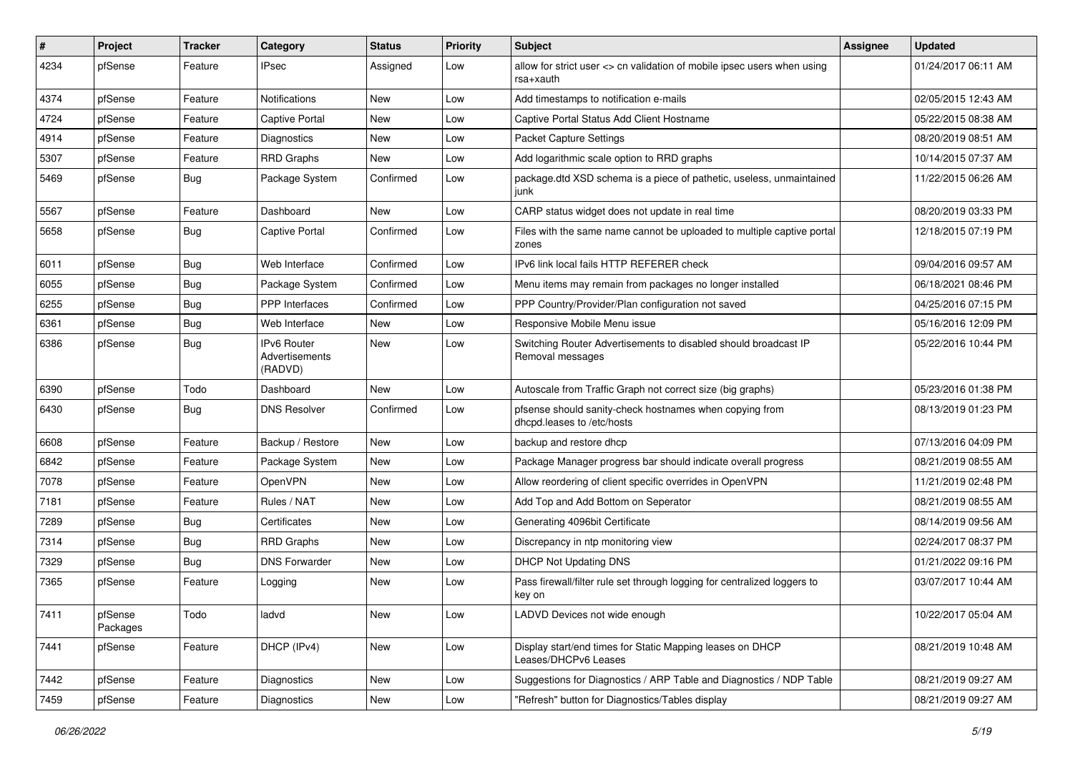| $\sharp$ | Project             | Tracker    | Category                                 | <b>Status</b> | <b>Priority</b> | <b>Subject</b>                                                                        | <b>Assignee</b> | <b>Updated</b>      |
|----------|---------------------|------------|------------------------------------------|---------------|-----------------|---------------------------------------------------------------------------------------|-----------------|---------------------|
| 4234     | pfSense             | Feature    | IPsec                                    | Assigned      | Low             | allow for strict user <> cn validation of mobile ipsec users when using<br>rsa+xauth  |                 | 01/24/2017 06:11 AM |
| 4374     | pfSense             | Feature    | <b>Notifications</b>                     | New           | Low             | Add timestamps to notification e-mails                                                |                 | 02/05/2015 12:43 AM |
| 4724     | pfSense             | Feature    | Captive Portal                           | New           | Low             | Captive Portal Status Add Client Hostname                                             |                 | 05/22/2015 08:38 AM |
| 4914     | pfSense             | Feature    | Diagnostics                              | New           | Low             | <b>Packet Capture Settings</b>                                                        |                 | 08/20/2019 08:51 AM |
| 5307     | pfSense             | Feature    | <b>RRD Graphs</b>                        | New           | Low             | Add logarithmic scale option to RRD graphs                                            |                 | 10/14/2015 07:37 AM |
| 5469     | pfSense             | <b>Bug</b> | Package System                           | Confirmed     | Low             | package.dtd XSD schema is a piece of pathetic, useless, unmaintained<br>junk          |                 | 11/22/2015 06:26 AM |
| 5567     | pfSense             | Feature    | Dashboard                                | New           | Low             | CARP status widget does not update in real time                                       |                 | 08/20/2019 03:33 PM |
| 5658     | pfSense             | <b>Bug</b> | Captive Portal                           | Confirmed     | Low             | Files with the same name cannot be uploaded to multiple captive portal<br>zones       |                 | 12/18/2015 07:19 PM |
| 6011     | pfSense             | <b>Bug</b> | Web Interface                            | Confirmed     | Low             | IPv6 link local fails HTTP REFERER check                                              |                 | 09/04/2016 09:57 AM |
| 6055     | pfSense             | <b>Bug</b> | Package System                           | Confirmed     | Low             | Menu items may remain from packages no longer installed                               |                 | 06/18/2021 08:46 PM |
| 6255     | pfSense             | <b>Bug</b> | <b>PPP</b> Interfaces                    | Confirmed     | Low             | PPP Country/Provider/Plan configuration not saved                                     |                 | 04/25/2016 07:15 PM |
| 6361     | pfSense             | <b>Bug</b> | Web Interface                            | <b>New</b>    | Low             | Responsive Mobile Menu issue                                                          |                 | 05/16/2016 12:09 PM |
| 6386     | pfSense             | <b>Bug</b> | IPv6 Router<br>Advertisements<br>(RADVD) | New           | Low             | Switching Router Advertisements to disabled should broadcast IP<br>Removal messages   |                 | 05/22/2016 10:44 PM |
| 6390     | pfSense             | Todo       | Dashboard                                | New           | Low             | Autoscale from Traffic Graph not correct size (big graphs)                            |                 | 05/23/2016 01:38 PM |
| 6430     | pfSense             | <b>Bug</b> | <b>DNS Resolver</b>                      | Confirmed     | Low             | pfsense should sanity-check hostnames when copying from<br>dhcpd.leases to /etc/hosts |                 | 08/13/2019 01:23 PM |
| 6608     | pfSense             | Feature    | Backup / Restore                         | New           | Low             | backup and restore dhcp                                                               |                 | 07/13/2016 04:09 PM |
| 6842     | pfSense             | Feature    | Package System                           | New           | Low             | Package Manager progress bar should indicate overall progress                         |                 | 08/21/2019 08:55 AM |
| 7078     | pfSense             | Feature    | OpenVPN                                  | New           | Low             | Allow reordering of client specific overrides in OpenVPN                              |                 | 11/21/2019 02:48 PM |
| 7181     | pfSense             | Feature    | Rules / NAT                              | New           | Low             | Add Top and Add Bottom on Seperator                                                   |                 | 08/21/2019 08:55 AM |
| 7289     | pfSense             | <b>Bug</b> | Certificates                             | New           | Low             | Generating 4096bit Certificate                                                        |                 | 08/14/2019 09:56 AM |
| 7314     | pfSense             | Bug        | <b>RRD Graphs</b>                        | New           | Low             | Discrepancy in ntp monitoring view                                                    |                 | 02/24/2017 08:37 PM |
| 7329     | pfSense             | <b>Bug</b> | <b>DNS Forwarder</b>                     | New           | Low             | <b>DHCP Not Updating DNS</b>                                                          |                 | 01/21/2022 09:16 PM |
| 7365     | pfSense             | Feature    | Logging                                  | New           | Low             | Pass firewall/filter rule set through logging for centralized loggers to<br>key on    |                 | 03/07/2017 10:44 AM |
| 7411     | pfSense<br>Packages | Todo       | ladvd                                    | New           | Low             | LADVD Devices not wide enough                                                         |                 | 10/22/2017 05:04 AM |
| 7441     | pfSense             | Feature    | DHCP (IPv4)                              | New           | Low             | Display start/end times for Static Mapping leases on DHCP<br>Leases/DHCPv6 Leases     |                 | 08/21/2019 10:48 AM |
| 7442     | pfSense             | Feature    | <b>Diagnostics</b>                       | New           | Low             | Suggestions for Diagnostics / ARP Table and Diagnostics / NDP Table                   |                 | 08/21/2019 09:27 AM |
| 7459     | pfSense             | Feature    | Diagnostics                              | New           | Low             | "Refresh" button for Diagnostics/Tables display                                       |                 | 08/21/2019 09:27 AM |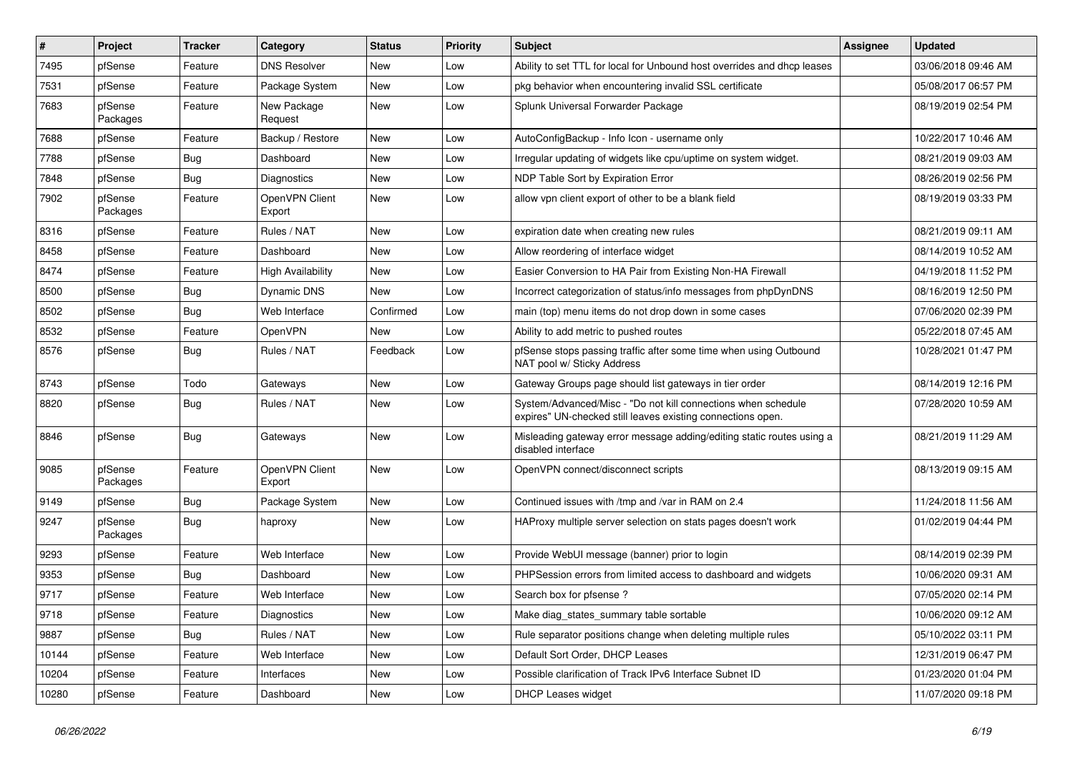| #     | Project             | <b>Tracker</b> | Category                 | <b>Status</b> | <b>Priority</b> | <b>Subject</b>                                                                                                               | <b>Assignee</b> | <b>Updated</b>      |
|-------|---------------------|----------------|--------------------------|---------------|-----------------|------------------------------------------------------------------------------------------------------------------------------|-----------------|---------------------|
| 7495  | pfSense             | Feature        | <b>DNS Resolver</b>      | New           | Low             | Ability to set TTL for local for Unbound host overrides and dhcp leases                                                      |                 | 03/06/2018 09:46 AM |
| 7531  | pfSense             | Feature        | Package System           | New           | Low             | pkg behavior when encountering invalid SSL certificate                                                                       |                 | 05/08/2017 06:57 PM |
| 7683  | pfSense<br>Packages | Feature        | New Package<br>Request   | New           | Low             | Splunk Universal Forwarder Package                                                                                           |                 | 08/19/2019 02:54 PM |
| 7688  | pfSense             | Feature        | Backup / Restore         | New           | Low             | AutoConfigBackup - Info Icon - username only                                                                                 |                 | 10/22/2017 10:46 AM |
| 7788  | pfSense             | <b>Bug</b>     | Dashboard                | <b>New</b>    | Low             | Irregular updating of widgets like cpu/uptime on system widget.                                                              |                 | 08/21/2019 09:03 AM |
| 7848  | pfSense             | Bug            | Diagnostics              | New           | Low             | NDP Table Sort by Expiration Error                                                                                           |                 | 08/26/2019 02:56 PM |
| 7902  | pfSense<br>Packages | Feature        | OpenVPN Client<br>Export | <b>New</b>    | Low             | allow vpn client export of other to be a blank field                                                                         |                 | 08/19/2019 03:33 PM |
| 8316  | pfSense             | Feature        | Rules / NAT              | New           | Low             | expiration date when creating new rules                                                                                      |                 | 08/21/2019 09:11 AM |
| 8458  | pfSense             | Feature        | Dashboard                | New           | Low             | Allow reordering of interface widget                                                                                         |                 | 08/14/2019 10:52 AM |
| 8474  | pfSense             | Feature        | <b>High Availability</b> | New           | Low             | Easier Conversion to HA Pair from Existing Non-HA Firewall                                                                   |                 | 04/19/2018 11:52 PM |
| 8500  | pfSense             | <b>Bug</b>     | Dynamic DNS              | <b>New</b>    | Low             | Incorrect categorization of status/info messages from phpDynDNS                                                              |                 | 08/16/2019 12:50 PM |
| 8502  | pfSense             | Bug            | Web Interface            | Confirmed     | Low             | main (top) menu items do not drop down in some cases                                                                         |                 | 07/06/2020 02:39 PM |
| 8532  | pfSense             | Feature        | OpenVPN                  | New           | Low             | Ability to add metric to pushed routes                                                                                       |                 | 05/22/2018 07:45 AM |
| 8576  | pfSense             | Bug            | Rules / NAT              | Feedback      | Low             | pfSense stops passing traffic after some time when using Outbound<br>NAT pool w/ Sticky Address                              |                 | 10/28/2021 01:47 PM |
| 8743  | pfSense             | Todo           | Gateways                 | New           | Low             | Gateway Groups page should list gateways in tier order                                                                       |                 | 08/14/2019 12:16 PM |
| 8820  | pfSense             | Bug            | Rules / NAT              | New           | Low             | System/Advanced/Misc - "Do not kill connections when schedule<br>expires" UN-checked still leaves existing connections open. |                 | 07/28/2020 10:59 AM |
| 8846  | pfSense             | Bug            | Gateways                 | <b>New</b>    | Low             | Misleading gateway error message adding/editing static routes using a<br>disabled interface                                  |                 | 08/21/2019 11:29 AM |
| 9085  | pfSense<br>Packages | Feature        | OpenVPN Client<br>Export | New           | Low             | OpenVPN connect/disconnect scripts                                                                                           |                 | 08/13/2019 09:15 AM |
| 9149  | pfSense             | Bug            | Package System           | New           | Low             | Continued issues with /tmp and /var in RAM on 2.4                                                                            |                 | 11/24/2018 11:56 AM |
| 9247  | pfSense<br>Packages | Bug            | haproxy                  | New           | Low             | HAProxy multiple server selection on stats pages doesn't work                                                                |                 | 01/02/2019 04:44 PM |
| 9293  | pfSense             | Feature        | Web Interface            | <b>New</b>    | Low             | Provide WebUI message (banner) prior to login                                                                                |                 | 08/14/2019 02:39 PM |
| 9353  | pfSense             | <b>Bug</b>     | Dashboard                | New           | Low             | PHPSession errors from limited access to dashboard and widgets                                                               |                 | 10/06/2020 09:31 AM |
| 9717  | pfSense             | Feature        | Web Interface            | New           | Low             | Search box for pfsense?                                                                                                      |                 | 07/05/2020 02:14 PM |
| 9718  | pfSense             | Feature        | Diagnostics              | New           | Low             | Make diag_states_summary table sortable                                                                                      |                 | 10/06/2020 09:12 AM |
| 9887  | pfSense             | Bug            | Rules / NAT              | New           | Low             | Rule separator positions change when deleting multiple rules                                                                 |                 | 05/10/2022 03:11 PM |
| 10144 | pfSense             | Feature        | Web Interface            | New           | Low             | Default Sort Order, DHCP Leases                                                                                              |                 | 12/31/2019 06:47 PM |
| 10204 | pfSense             | Feature        | Interfaces               | New           | Low             | Possible clarification of Track IPv6 Interface Subnet ID                                                                     |                 | 01/23/2020 01:04 PM |
| 10280 | pfSense             | Feature        | Dashboard                | New           | Low             | <b>DHCP Leases widget</b>                                                                                                    |                 | 11/07/2020 09:18 PM |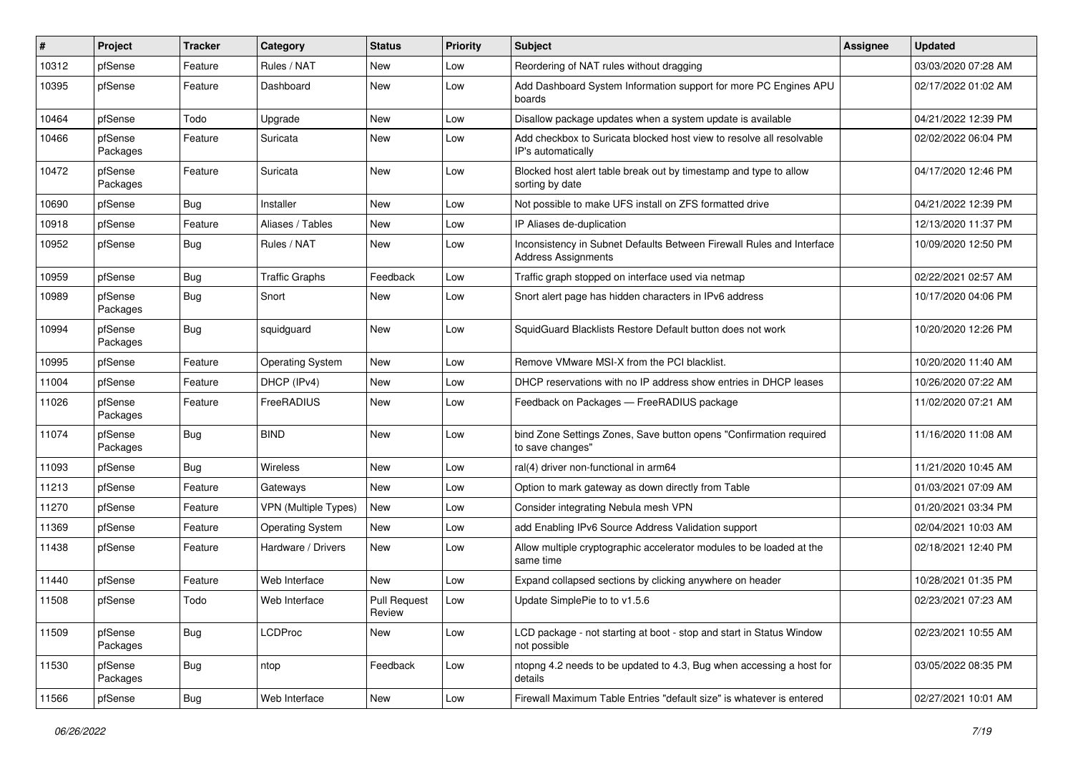| #     | Project             | Tracker    | Category                    | <b>Status</b>                 | Priority | <b>Subject</b>                                                                                      | <b>Assignee</b> | <b>Updated</b>      |
|-------|---------------------|------------|-----------------------------|-------------------------------|----------|-----------------------------------------------------------------------------------------------------|-----------------|---------------------|
| 10312 | pfSense             | Feature    | Rules / NAT                 | New                           | Low      | Reordering of NAT rules without dragging                                                            |                 | 03/03/2020 07:28 AM |
| 10395 | pfSense             | Feature    | Dashboard                   | New                           | Low      | Add Dashboard System Information support for more PC Engines APU<br>boards                          |                 | 02/17/2022 01:02 AM |
| 10464 | pfSense             | Todo       | Upgrade                     | New                           | Low      | Disallow package updates when a system update is available                                          |                 | 04/21/2022 12:39 PM |
| 10466 | pfSense<br>Packages | Feature    | Suricata                    | New                           | Low      | Add checkbox to Suricata blocked host view to resolve all resolvable<br>IP's automatically          |                 | 02/02/2022 06:04 PM |
| 10472 | pfSense<br>Packages | Feature    | Suricata                    | New                           | Low      | Blocked host alert table break out by timestamp and type to allow<br>sorting by date                |                 | 04/17/2020 12:46 PM |
| 10690 | pfSense             | <b>Bug</b> | Installer                   | New                           | Low      | Not possible to make UFS install on ZFS formatted drive                                             |                 | 04/21/2022 12:39 PM |
| 10918 | pfSense             | Feature    | Aliases / Tables            | New                           | Low      | IP Aliases de-duplication                                                                           |                 | 12/13/2020 11:37 PM |
| 10952 | pfSense             | <b>Bug</b> | Rules / NAT                 | New                           | Low      | Inconsistency in Subnet Defaults Between Firewall Rules and Interface<br><b>Address Assignments</b> |                 | 10/09/2020 12:50 PM |
| 10959 | pfSense             | <b>Bug</b> | <b>Traffic Graphs</b>       | Feedback                      | Low      | Traffic graph stopped on interface used via netmap                                                  |                 | 02/22/2021 02:57 AM |
| 10989 | pfSense<br>Packages | <b>Bug</b> | Snort                       | New                           | Low      | Snort alert page has hidden characters in IPv6 address                                              |                 | 10/17/2020 04:06 PM |
| 10994 | pfSense<br>Packages | <b>Bug</b> | squidguard                  | <b>New</b>                    | Low      | SquidGuard Blacklists Restore Default button does not work                                          |                 | 10/20/2020 12:26 PM |
| 10995 | pfSense             | Feature    | <b>Operating System</b>     | New                           | Low      | Remove VMware MSI-X from the PCI blacklist.                                                         |                 | 10/20/2020 11:40 AM |
| 11004 | pfSense             | Feature    | DHCP (IPv4)                 | New                           | Low      | DHCP reservations with no IP address show entries in DHCP leases                                    |                 | 10/26/2020 07:22 AM |
| 11026 | pfSense<br>Packages | Feature    | FreeRADIUS                  | New                           | Low      | Feedback on Packages - FreeRADIUS package                                                           |                 | 11/02/2020 07:21 AM |
| 11074 | pfSense<br>Packages | <b>Bug</b> | <b>BIND</b>                 | New                           | Low      | bind Zone Settings Zones, Save button opens "Confirmation required<br>to save changes"              |                 | 11/16/2020 11:08 AM |
| 11093 | pfSense             | <b>Bug</b> | Wireless                    | New                           | Low      | ral(4) driver non-functional in arm64                                                               |                 | 11/21/2020 10:45 AM |
| 11213 | pfSense             | Feature    | Gateways                    | New                           | Low      | Option to mark gateway as down directly from Table                                                  |                 | 01/03/2021 07:09 AM |
| 11270 | pfSense             | Feature    | <b>VPN (Multiple Types)</b> | New                           | Low      | Consider integrating Nebula mesh VPN                                                                |                 | 01/20/2021 03:34 PM |
| 11369 | pfSense             | Feature    | <b>Operating System</b>     | New                           | Low      | add Enabling IPv6 Source Address Validation support                                                 |                 | 02/04/2021 10:03 AM |
| 11438 | pfSense             | Feature    | Hardware / Drivers          | New                           | Low      | Allow multiple cryptographic accelerator modules to be loaded at the<br>same time                   |                 | 02/18/2021 12:40 PM |
| 11440 | pfSense             | Feature    | Web Interface               | New                           | Low      | Expand collapsed sections by clicking anywhere on header                                            |                 | 10/28/2021 01:35 PM |
| 11508 | pfSense             | Todo       | Web Interface               | <b>Pull Request</b><br>Review | Low      | Update SimplePie to to v1.5.6                                                                       |                 | 02/23/2021 07:23 AM |
| 11509 | pfSense<br>Packages | <b>Bug</b> | <b>LCDProc</b>              | New                           | Low      | LCD package - not starting at boot - stop and start in Status Window<br>not possible                |                 | 02/23/2021 10:55 AM |
| 11530 | pfSense<br>Packages | <b>Bug</b> | ntop                        | Feedback                      | Low      | ntopng 4.2 needs to be updated to 4.3, Bug when accessing a host for<br>details                     |                 | 03/05/2022 08:35 PM |
| 11566 | pfSense             | Bug        | Web Interface               | New                           | Low      | Firewall Maximum Table Entries "default size" is whatever is entered                                |                 | 02/27/2021 10:01 AM |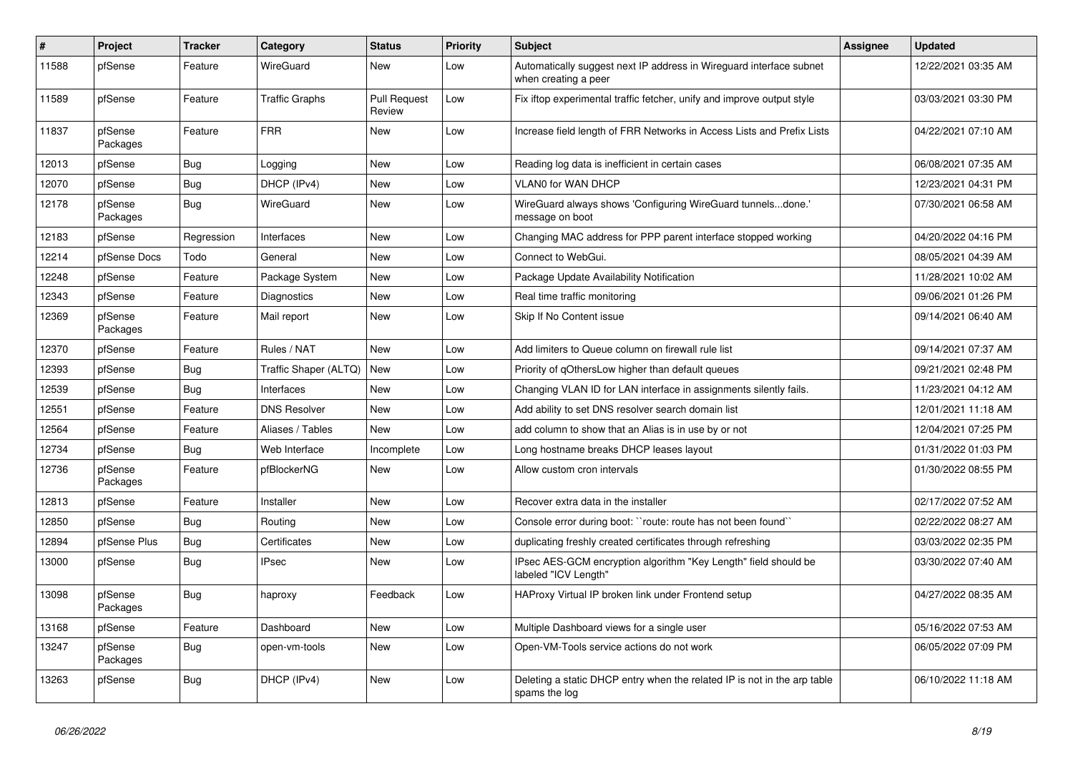| $\vert$ # | Project             | <b>Tracker</b> | Category              | <b>Status</b>                 | <b>Priority</b> | <b>Subject</b>                                                                              | <b>Assignee</b> | <b>Updated</b>      |
|-----------|---------------------|----------------|-----------------------|-------------------------------|-----------------|---------------------------------------------------------------------------------------------|-----------------|---------------------|
| 11588     | pfSense             | Feature        | WireGuard             | <b>New</b>                    | Low             | Automatically suggest next IP address in Wireguard interface subnet<br>when creating a peer |                 | 12/22/2021 03:35 AM |
| 11589     | pfSense             | Feature        | <b>Traffic Graphs</b> | <b>Pull Request</b><br>Review | Low             | Fix iftop experimental traffic fetcher, unify and improve output style                      |                 | 03/03/2021 03:30 PM |
| 11837     | pfSense<br>Packages | Feature        | <b>FRR</b>            | New                           | Low             | Increase field length of FRR Networks in Access Lists and Prefix Lists                      |                 | 04/22/2021 07:10 AM |
| 12013     | pfSense             | <b>Bug</b>     | Logging               | <b>New</b>                    | Low             | Reading log data is inefficient in certain cases                                            |                 | 06/08/2021 07:35 AM |
| 12070     | pfSense             | Bug            | DHCP (IPv4)           | New                           | Low             | <b>VLANO for WAN DHCP</b>                                                                   |                 | 12/23/2021 04:31 PM |
| 12178     | pfSense<br>Packages | Bug            | WireGuard             | New                           | Low             | WireGuard always shows 'Configuring WireGuard tunnelsdone.'<br>message on boot              |                 | 07/30/2021 06:58 AM |
| 12183     | pfSense             | Regression     | Interfaces            | New                           | Low             | Changing MAC address for PPP parent interface stopped working                               |                 | 04/20/2022 04:16 PM |
| 12214     | pfSense Docs        | Todo           | General               | <b>New</b>                    | Low             | Connect to WebGui.                                                                          |                 | 08/05/2021 04:39 AM |
| 12248     | pfSense             | Feature        | Package System        | New                           | Low             | Package Update Availability Notification                                                    |                 | 11/28/2021 10:02 AM |
| 12343     | pfSense             | Feature        | Diagnostics           | <b>New</b>                    | Low             | Real time traffic monitoring                                                                |                 | 09/06/2021 01:26 PM |
| 12369     | pfSense<br>Packages | Feature        | Mail report           | New                           | Low             | Skip If No Content issue                                                                    |                 | 09/14/2021 06:40 AM |
| 12370     | pfSense             | Feature        | Rules / NAT           | <b>New</b>                    | Low             | Add limiters to Queue column on firewall rule list                                          |                 | 09/14/2021 07:37 AM |
| 12393     | pfSense             | <b>Bug</b>     | Traffic Shaper (ALTQ) | New                           | Low             | Priority of gOthersLow higher than default queues                                           |                 | 09/21/2021 02:48 PM |
| 12539     | pfSense             | <b>Bug</b>     | Interfaces            | <b>New</b>                    | Low             | Changing VLAN ID for LAN interface in assignments silently fails.                           |                 | 11/23/2021 04:12 AM |
| 12551     | pfSense             | Feature        | <b>DNS Resolver</b>   | <b>New</b>                    | Low             | Add ability to set DNS resolver search domain list                                          |                 | 12/01/2021 11:18 AM |
| 12564     | pfSense             | Feature        | Aliases / Tables      | <b>New</b>                    | Low             | add column to show that an Alias is in use by or not                                        |                 | 12/04/2021 07:25 PM |
| 12734     | pfSense             | <b>Bug</b>     | Web Interface         | Incomplete                    | Low             | Long hostname breaks DHCP leases layout                                                     |                 | 01/31/2022 01:03 PM |
| 12736     | pfSense<br>Packages | Feature        | pfBlockerNG           | <b>New</b>                    | Low             | Allow custom cron intervals                                                                 |                 | 01/30/2022 08:55 PM |
| 12813     | pfSense             | Feature        | Installer             | New                           | Low             | Recover extra data in the installer                                                         |                 | 02/17/2022 07:52 AM |
| 12850     | pfSense             | <b>Bug</b>     | Routing               | New                           | Low             | Console error during boot: "route: route has not been found"                                |                 | 02/22/2022 08:27 AM |
| 12894     | pfSense Plus        | <b>Bug</b>     | Certificates          | New                           | Low             | duplicating freshly created certificates through refreshing                                 |                 | 03/03/2022 02:35 PM |
| 13000     | pfSense             | <b>Bug</b>     | <b>IPsec</b>          | New                           | Low             | IPsec AES-GCM encryption algorithm "Key Length" field should be<br>labeled "ICV Length"     |                 | 03/30/2022 07:40 AM |
| 13098     | pfSense<br>Packages | Bug            | haproxy               | Feedback                      | Low             | HAProxy Virtual IP broken link under Frontend setup                                         |                 | 04/27/2022 08:35 AM |
| 13168     | pfSense             | Feature        | Dashboard             | <b>New</b>                    | Low             | Multiple Dashboard views for a single user                                                  |                 | 05/16/2022 07:53 AM |
| 13247     | pfSense<br>Packages | <b>Bug</b>     | open-vm-tools         | New                           | Low             | Open-VM-Tools service actions do not work                                                   |                 | 06/05/2022 07:09 PM |
| 13263     | pfSense             | <b>Bug</b>     | DHCP (IPv4)           | <b>New</b>                    | Low             | Deleting a static DHCP entry when the related IP is not in the arp table<br>spams the log   |                 | 06/10/2022 11:18 AM |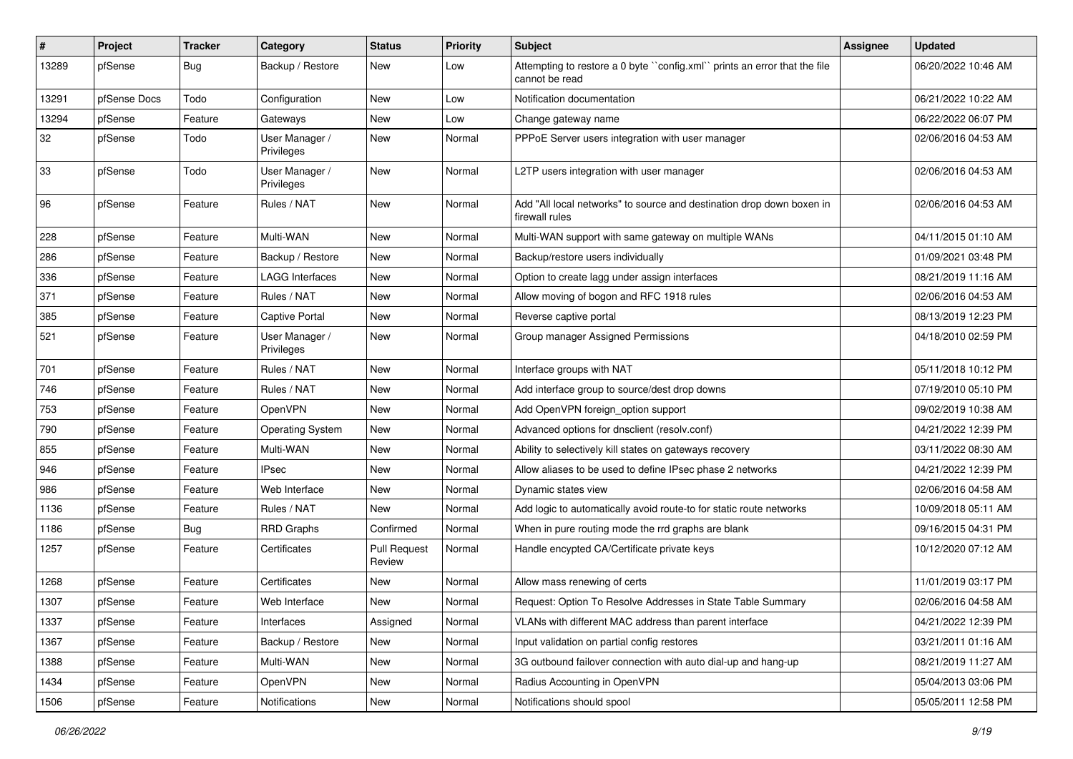| #     | Project      | <b>Tracker</b> | Category                     | <b>Status</b>                 | <b>Priority</b> | <b>Subject</b>                                                                              | <b>Assignee</b> | <b>Updated</b>      |
|-------|--------------|----------------|------------------------------|-------------------------------|-----------------|---------------------------------------------------------------------------------------------|-----------------|---------------------|
| 13289 | pfSense      | <b>Bug</b>     | Backup / Restore             | New                           | Low             | Attempting to restore a 0 byte "config.xml" prints an error that the file<br>cannot be read |                 | 06/20/2022 10:46 AM |
| 13291 | pfSense Docs | Todo           | Configuration                | New                           | Low             | Notification documentation                                                                  |                 | 06/21/2022 10:22 AM |
| 13294 | pfSense      | Feature        | Gateways                     | <b>New</b>                    | Low             | Change gateway name                                                                         |                 | 06/22/2022 06:07 PM |
| 32    | pfSense      | Todo           | User Manager /<br>Privileges | New                           | Normal          | PPPoE Server users integration with user manager                                            |                 | 02/06/2016 04:53 AM |
| 33    | pfSense      | Todo           | User Manager /<br>Privileges | New                           | Normal          | L2TP users integration with user manager                                                    |                 | 02/06/2016 04:53 AM |
| 96    | pfSense      | Feature        | Rules / NAT                  | New                           | Normal          | Add "All local networks" to source and destination drop down boxen in<br>firewall rules     |                 | 02/06/2016 04:53 AM |
| 228   | pfSense      | Feature        | Multi-WAN                    | New                           | Normal          | Multi-WAN support with same gateway on multiple WANs                                        |                 | 04/11/2015 01:10 AM |
| 286   | pfSense      | Feature        | Backup / Restore             | New                           | Normal          | Backup/restore users individually                                                           |                 | 01/09/2021 03:48 PM |
| 336   | pfSense      | Feature        | <b>LAGG Interfaces</b>       | New                           | Normal          | Option to create lagg under assign interfaces                                               |                 | 08/21/2019 11:16 AM |
| 371   | pfSense      | Feature        | Rules / NAT                  | New                           | Normal          | Allow moving of bogon and RFC 1918 rules                                                    |                 | 02/06/2016 04:53 AM |
| 385   | pfSense      | Feature        | Captive Portal               | New                           | Normal          | Reverse captive portal                                                                      |                 | 08/13/2019 12:23 PM |
| 521   | pfSense      | Feature        | User Manager /<br>Privileges | New                           | Normal          | Group manager Assigned Permissions                                                          |                 | 04/18/2010 02:59 PM |
| 701   | pfSense      | Feature        | Rules / NAT                  | New                           | Normal          | Interface groups with NAT                                                                   |                 | 05/11/2018 10:12 PM |
| 746   | pfSense      | Feature        | Rules / NAT                  | New                           | Normal          | Add interface group to source/dest drop downs                                               |                 | 07/19/2010 05:10 PM |
| 753   | pfSense      | Feature        | OpenVPN                      | New                           | Normal          | Add OpenVPN foreign option support                                                          |                 | 09/02/2019 10:38 AM |
| 790   | pfSense      | Feature        | <b>Operating System</b>      | New                           | Normal          | Advanced options for dnsclient (resolv.conf)                                                |                 | 04/21/2022 12:39 PM |
| 855   | pfSense      | Feature        | Multi-WAN                    | New                           | Normal          | Ability to selectively kill states on gateways recovery                                     |                 | 03/11/2022 08:30 AM |
| 946   | pfSense      | Feature        | <b>IPsec</b>                 | <b>New</b>                    | Normal          | Allow aliases to be used to define IPsec phase 2 networks                                   |                 | 04/21/2022 12:39 PM |
| 986   | pfSense      | Feature        | Web Interface                | New                           | Normal          | Dynamic states view                                                                         |                 | 02/06/2016 04:58 AM |
| 1136  | pfSense      | Feature        | Rules / NAT                  | New                           | Normal          | Add logic to automatically avoid route-to for static route networks                         |                 | 10/09/2018 05:11 AM |
| 1186  | pfSense      | <b>Bug</b>     | <b>RRD Graphs</b>            | Confirmed                     | Normal          | When in pure routing mode the rrd graphs are blank                                          |                 | 09/16/2015 04:31 PM |
| 1257  | pfSense      | Feature        | Certificates                 | <b>Pull Request</b><br>Review | Normal          | Handle encypted CA/Certificate private keys                                                 |                 | 10/12/2020 07:12 AM |
| 1268  | pfSense      | Feature        | Certificates                 | New                           | Normal          | Allow mass renewing of certs                                                                |                 | 11/01/2019 03:17 PM |
| 1307  | pfSense      | Feature        | Web Interface                | New                           | Normal          | Request: Option To Resolve Addresses in State Table Summary                                 |                 | 02/06/2016 04:58 AM |
| 1337  | pfSense      | Feature        | Interfaces                   | Assigned                      | Normal          | VLANs with different MAC address than parent interface                                      |                 | 04/21/2022 12:39 PM |
| 1367  | pfSense      | Feature        | Backup / Restore             | New                           | Normal          | Input validation on partial config restores                                                 |                 | 03/21/2011 01:16 AM |
| 1388  | pfSense      | Feature        | Multi-WAN                    | New                           | Normal          | 3G outbound failover connection with auto dial-up and hang-up                               |                 | 08/21/2019 11:27 AM |
| 1434  | pfSense      | Feature        | OpenVPN                      | New                           | Normal          | Radius Accounting in OpenVPN                                                                |                 | 05/04/2013 03:06 PM |
| 1506  | pfSense      | Feature        | Notifications                | New                           | Normal          | Notifications should spool                                                                  |                 | 05/05/2011 12:58 PM |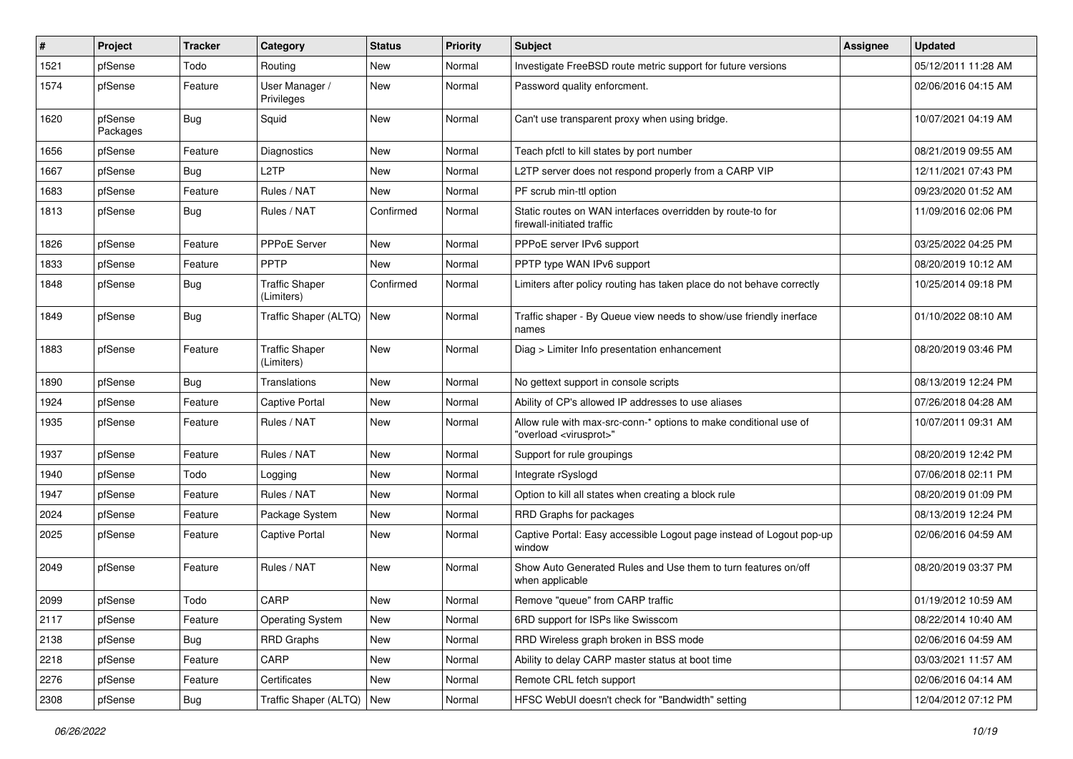| $\vert$ # | Project             | <b>Tracker</b> | Category                            | <b>Status</b> | <b>Priority</b> | <b>Subject</b>                                                                                          | <b>Assignee</b> | <b>Updated</b>      |
|-----------|---------------------|----------------|-------------------------------------|---------------|-----------------|---------------------------------------------------------------------------------------------------------|-----------------|---------------------|
| 1521      | pfSense             | Todo           | Routing                             | New           | Normal          | Investigate FreeBSD route metric support for future versions                                            |                 | 05/12/2011 11:28 AM |
| 1574      | pfSense             | Feature        | User Manager /<br>Privileges        | New           | Normal          | Password quality enforcment.                                                                            |                 | 02/06/2016 04:15 AM |
| 1620      | pfSense<br>Packages | <b>Bug</b>     | Squid                               | New           | Normal          | Can't use transparent proxy when using bridge.                                                          |                 | 10/07/2021 04:19 AM |
| 1656      | pfSense             | Feature        | <b>Diagnostics</b>                  | New           | Normal          | Teach pfctl to kill states by port number                                                               |                 | 08/21/2019 09:55 AM |
| 1667      | pfSense             | Bug            | L2TP                                | New           | Normal          | L2TP server does not respond properly from a CARP VIP                                                   |                 | 12/11/2021 07:43 PM |
| 1683      | pfSense             | Feature        | Rules / NAT                         | New           | Normal          | PF scrub min-ttl option                                                                                 |                 | 09/23/2020 01:52 AM |
| 1813      | pfSense             | Bug            | Rules / NAT                         | Confirmed     | Normal          | Static routes on WAN interfaces overridden by route-to for<br>firewall-initiated traffic                |                 | 11/09/2016 02:06 PM |
| 1826      | pfSense             | Feature        | PPPoE Server                        | New           | Normal          | PPPoE server IPv6 support                                                                               |                 | 03/25/2022 04:25 PM |
| 1833      | pfSense             | Feature        | <b>PPTP</b>                         | <b>New</b>    | Normal          | PPTP type WAN IPv6 support                                                                              |                 | 08/20/2019 10:12 AM |
| 1848      | pfSense             | <b>Bug</b>     | <b>Traffic Shaper</b><br>(Limiters) | Confirmed     | Normal          | Limiters after policy routing has taken place do not behave correctly                                   |                 | 10/25/2014 09:18 PM |
| 1849      | pfSense             | Bug            | Traffic Shaper (ALTQ)               | New           | Normal          | Traffic shaper - By Queue view needs to show/use friendly inerface<br>names                             |                 | 01/10/2022 08:10 AM |
| 1883      | pfSense             | Feature        | <b>Traffic Shaper</b><br>(Limiters) | New           | Normal          | Diag > Limiter Info presentation enhancement                                                            |                 | 08/20/2019 03:46 PM |
| 1890      | pfSense             | Bug            | Translations                        | New           | Normal          | No gettext support in console scripts                                                                   |                 | 08/13/2019 12:24 PM |
| 1924      | pfSense             | Feature        | <b>Captive Portal</b>               | New           | Normal          | Ability of CP's allowed IP addresses to use aliases                                                     |                 | 07/26/2018 04:28 AM |
| 1935      | pfSense             | Feature        | Rules / NAT                         | New           | Normal          | Allow rule with max-src-conn-* options to make conditional use of<br>"overload <virusprot>"</virusprot> |                 | 10/07/2011 09:31 AM |
| 1937      | pfSense             | Feature        | Rules / NAT                         | New           | Normal          | Support for rule groupings                                                                              |                 | 08/20/2019 12:42 PM |
| 1940      | pfSense             | Todo           | Logging                             | New           | Normal          | Integrate rSyslogd                                                                                      |                 | 07/06/2018 02:11 PM |
| 1947      | pfSense             | Feature        | Rules / NAT                         | New           | Normal          | Option to kill all states when creating a block rule                                                    |                 | 08/20/2019 01:09 PM |
| 2024      | pfSense             | Feature        | Package System                      | New           | Normal          | RRD Graphs for packages                                                                                 |                 | 08/13/2019 12:24 PM |
| 2025      | pfSense             | Feature        | Captive Portal                      | New           | Normal          | Captive Portal: Easy accessible Logout page instead of Logout pop-up<br>window                          |                 | 02/06/2016 04:59 AM |
| 2049      | pfSense             | Feature        | Rules / NAT                         | New           | Normal          | Show Auto Generated Rules and Use them to turn features on/off<br>when applicable                       |                 | 08/20/2019 03:37 PM |
| 2099      | pfSense             | Todo           | CARP                                | New           | Normal          | Remove "queue" from CARP traffic                                                                        |                 | 01/19/2012 10:59 AM |
| 2117      | pfSense             | Feature        | <b>Operating System</b>             | New           | Normal          | 6RD support for ISPs like Swisscom                                                                      |                 | 08/22/2014 10:40 AM |
| 2138      | pfSense             | Bug            | RRD Graphs                          | New           | Normal          | RRD Wireless graph broken in BSS mode                                                                   |                 | 02/06/2016 04:59 AM |
| 2218      | pfSense             | Feature        | CARP                                | New           | Normal          | Ability to delay CARP master status at boot time                                                        |                 | 03/03/2021 11:57 AM |
| 2276      | pfSense             | Feature        | Certificates                        | New           | Normal          | Remote CRL fetch support                                                                                |                 | 02/06/2016 04:14 AM |
| 2308      | pfSense             | Bug            | Traffic Shaper (ALTQ)               | New           | Normal          | HFSC WebUI doesn't check for "Bandwidth" setting                                                        |                 | 12/04/2012 07:12 PM |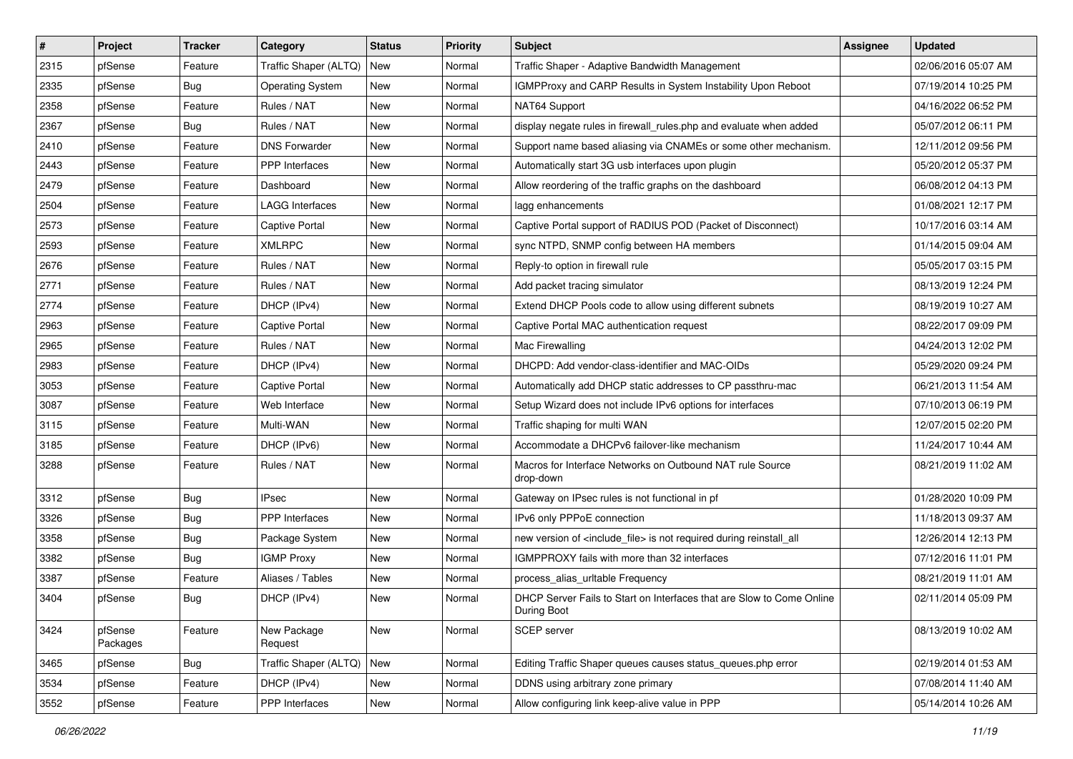| $\vert$ # | Project             | <b>Tracker</b> | Category                | <b>Status</b> | <b>Priority</b> | <b>Subject</b>                                                                       | <b>Assignee</b> | <b>Updated</b>      |
|-----------|---------------------|----------------|-------------------------|---------------|-----------------|--------------------------------------------------------------------------------------|-----------------|---------------------|
| 2315      | pfSense             | Feature        | Traffic Shaper (ALTQ)   | New           | Normal          | Traffic Shaper - Adaptive Bandwidth Management                                       |                 | 02/06/2016 05:07 AM |
| 2335      | pfSense             | <b>Bug</b>     | <b>Operating System</b> | New           | Normal          | IGMPProxy and CARP Results in System Instability Upon Reboot                         |                 | 07/19/2014 10:25 PM |
| 2358      | pfSense             | Feature        | Rules / NAT             | New           | Normal          | NAT64 Support                                                                        |                 | 04/16/2022 06:52 PM |
| 2367      | pfSense             | Bug            | Rules / NAT             | New           | Normal          | display negate rules in firewall_rules.php and evaluate when added                   |                 | 05/07/2012 06:11 PM |
| 2410      | pfSense             | Feature        | <b>DNS Forwarder</b>    | New           | Normal          | Support name based aliasing via CNAMEs or some other mechanism.                      |                 | 12/11/2012 09:56 PM |
| 2443      | pfSense             | Feature        | <b>PPP</b> Interfaces   | New           | Normal          | Automatically start 3G usb interfaces upon plugin                                    |                 | 05/20/2012 05:37 PM |
| 2479      | pfSense             | Feature        | Dashboard               | New           | Normal          | Allow reordering of the traffic graphs on the dashboard                              |                 | 06/08/2012 04:13 PM |
| 2504      | pfSense             | Feature        | LAGG Interfaces         | New           | Normal          | lagg enhancements                                                                    |                 | 01/08/2021 12:17 PM |
| 2573      | pfSense             | Feature        | <b>Captive Portal</b>   | New           | Normal          | Captive Portal support of RADIUS POD (Packet of Disconnect)                          |                 | 10/17/2016 03:14 AM |
| 2593      | pfSense             | Feature        | <b>XMLRPC</b>           | New           | Normal          | sync NTPD, SNMP config between HA members                                            |                 | 01/14/2015 09:04 AM |
| 2676      | pfSense             | Feature        | Rules / NAT             | New           | Normal          | Reply-to option in firewall rule                                                     |                 | 05/05/2017 03:15 PM |
| 2771      | pfSense             | Feature        | Rules / NAT             | New           | Normal          | Add packet tracing simulator                                                         |                 | 08/13/2019 12:24 PM |
| 2774      | pfSense             | Feature        | DHCP (IPv4)             | New           | Normal          | Extend DHCP Pools code to allow using different subnets                              |                 | 08/19/2019 10:27 AM |
| 2963      | pfSense             | Feature        | <b>Captive Portal</b>   | New           | Normal          | Captive Portal MAC authentication request                                            |                 | 08/22/2017 09:09 PM |
| 2965      | pfSense             | Feature        | Rules / NAT             | New           | Normal          | Mac Firewalling                                                                      |                 | 04/24/2013 12:02 PM |
| 2983      | pfSense             | Feature        | DHCP (IPv4)             | New           | Normal          | DHCPD: Add vendor-class-identifier and MAC-OIDs                                      |                 | 05/29/2020 09:24 PM |
| 3053      | pfSense             | Feature        | <b>Captive Portal</b>   | New           | Normal          | Automatically add DHCP static addresses to CP passthru-mac                           |                 | 06/21/2013 11:54 AM |
| 3087      | pfSense             | Feature        | Web Interface           | New           | Normal          | Setup Wizard does not include IPv6 options for interfaces                            |                 | 07/10/2013 06:19 PM |
| 3115      | pfSense             | Feature        | Multi-WAN               | New           | Normal          | Traffic shaping for multi WAN                                                        |                 | 12/07/2015 02:20 PM |
| 3185      | pfSense             | Feature        | DHCP (IPv6)             | New           | Normal          | Accommodate a DHCPv6 failover-like mechanism                                         |                 | 11/24/2017 10:44 AM |
| 3288      | pfSense             | Feature        | Rules / NAT             | New           | Normal          | Macros for Interface Networks on Outbound NAT rule Source<br>drop-down               |                 | 08/21/2019 11:02 AM |
| 3312      | pfSense             | Bug            | <b>IPsec</b>            | New           | Normal          | Gateway on IPsec rules is not functional in pf                                       |                 | 01/28/2020 10:09 PM |
| 3326      | pfSense             | <b>Bug</b>     | <b>PPP</b> Interfaces   | New           | Normal          | IPv6 only PPPoE connection                                                           |                 | 11/18/2013 09:37 AM |
| 3358      | pfSense             | <b>Bug</b>     | Package System          | New           | Normal          | new version of <include_file> is not required during reinstall_all</include_file>    |                 | 12/26/2014 12:13 PM |
| 3382      | pfSense             | <b>Bug</b>     | <b>IGMP Proxy</b>       | New           | Normal          | IGMPPROXY fails with more than 32 interfaces                                         |                 | 07/12/2016 11:01 PM |
| 3387      | pfSense             | Feature        | Aliases / Tables        | New           | Normal          | process_alias_urItable Frequency                                                     |                 | 08/21/2019 11:01 AM |
| 3404      | pfSense             | <b>Bug</b>     | DHCP (IPv4)             | New           | Normal          | DHCP Server Fails to Start on Interfaces that are Slow to Come Online<br>During Boot |                 | 02/11/2014 05:09 PM |
| 3424      | pfSense<br>Packages | Feature        | New Package<br>Request  | New           | Normal          | SCEP server                                                                          |                 | 08/13/2019 10:02 AM |
| 3465      | pfSense             | <b>Bug</b>     | Traffic Shaper (ALTQ)   | New           | Normal          | Editing Traffic Shaper queues causes status_queues.php error                         |                 | 02/19/2014 01:53 AM |
| 3534      | pfSense             | Feature        | DHCP (IPv4)             | New           | Normal          | DDNS using arbitrary zone primary                                                    |                 | 07/08/2014 11:40 AM |
| 3552      | pfSense             | Feature        | PPP Interfaces          | New           | Normal          | Allow configuring link keep-alive value in PPP                                       |                 | 05/14/2014 10:26 AM |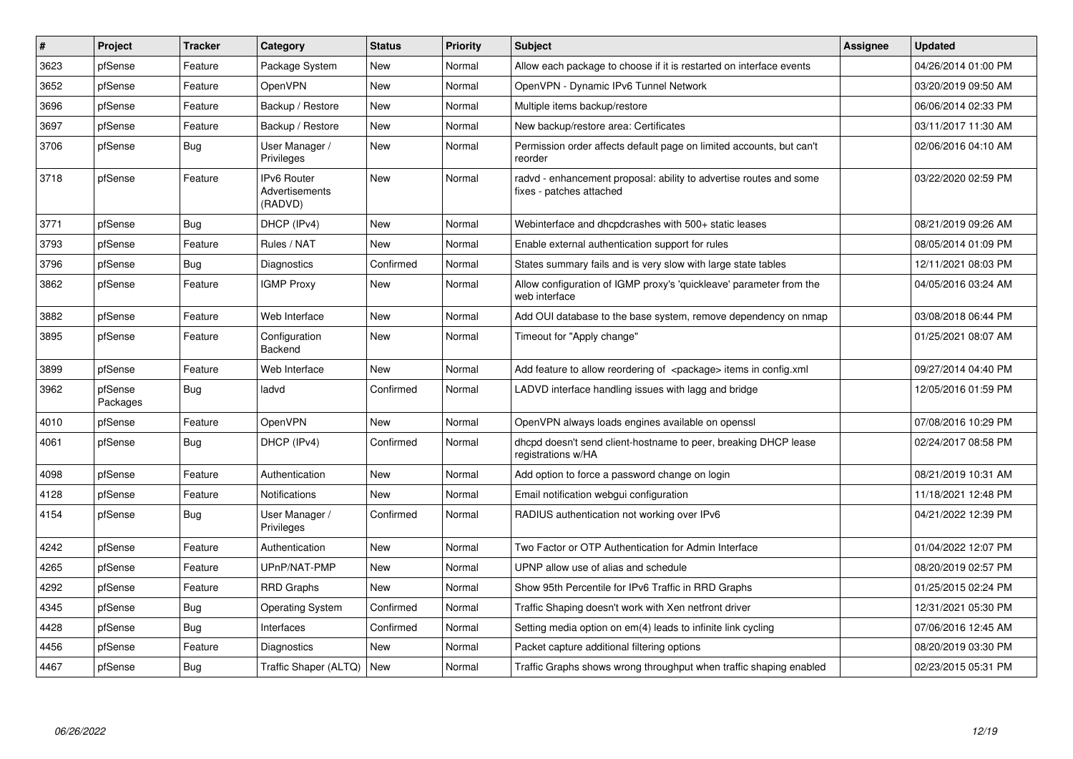| #    | Project             | <b>Tracker</b> | Category                                        | <b>Status</b> | Priority | Subject                                                                                        | <b>Assignee</b> | <b>Updated</b>      |
|------|---------------------|----------------|-------------------------------------------------|---------------|----------|------------------------------------------------------------------------------------------------|-----------------|---------------------|
| 3623 | pfSense             | Feature        | Package System                                  | <b>New</b>    | Normal   | Allow each package to choose if it is restarted on interface events                            |                 | 04/26/2014 01:00 PM |
| 3652 | pfSense             | Feature        | OpenVPN                                         | <b>New</b>    | Normal   | OpenVPN - Dynamic IPv6 Tunnel Network                                                          |                 | 03/20/2019 09:50 AM |
| 3696 | pfSense             | Feature        | Backup / Restore                                | <b>New</b>    | Normal   | Multiple items backup/restore                                                                  |                 | 06/06/2014 02:33 PM |
| 3697 | pfSense             | Feature        | Backup / Restore                                | New           | Normal   | New backup/restore area: Certificates                                                          |                 | 03/11/2017 11:30 AM |
| 3706 | pfSense             | <b>Bug</b>     | User Manager /<br>Privileges                    | New           | Normal   | Permission order affects default page on limited accounts, but can't<br>reorder                |                 | 02/06/2016 04:10 AM |
| 3718 | pfSense             | Feature        | <b>IPv6 Router</b><br>Advertisements<br>(RADVD) | New           | Normal   | radvd - enhancement proposal: ability to advertise routes and some<br>fixes - patches attached |                 | 03/22/2020 02:59 PM |
| 3771 | pfSense             | Bug            | DHCP (IPv4)                                     | <b>New</b>    | Normal   | Webinterface and dhcpdcrashes with 500+ static leases                                          |                 | 08/21/2019 09:26 AM |
| 3793 | pfSense             | Feature        | Rules / NAT                                     | New           | Normal   | Enable external authentication support for rules                                               |                 | 08/05/2014 01:09 PM |
| 3796 | pfSense             | <b>Bug</b>     | <b>Diagnostics</b>                              | Confirmed     | Normal   | States summary fails and is very slow with large state tables                                  |                 | 12/11/2021 08:03 PM |
| 3862 | pfSense             | Feature        | <b>IGMP Proxy</b>                               | New           | Normal   | Allow configuration of IGMP proxy's 'quickleave' parameter from the<br>web interface           |                 | 04/05/2016 03:24 AM |
| 3882 | pfSense             | Feature        | Web Interface                                   | <b>New</b>    | Normal   | Add OUI database to the base system, remove dependency on nmap                                 |                 | 03/08/2018 06:44 PM |
| 3895 | pfSense             | Feature        | Configuration<br>Backend                        | New           | Normal   | Timeout for "Apply change"                                                                     |                 | 01/25/2021 08:07 AM |
| 3899 | pfSense             | Feature        | Web Interface                                   | <b>New</b>    | Normal   | Add feature to allow reordering of <package> items in config.xml</package>                     |                 | 09/27/2014 04:40 PM |
| 3962 | pfSense<br>Packages | <b>Bug</b>     | ladvd                                           | Confirmed     | Normal   | LADVD interface handling issues with lagg and bridge                                           |                 | 12/05/2016 01:59 PM |
| 4010 | pfSense             | Feature        | <b>OpenVPN</b>                                  | <b>New</b>    | Normal   | OpenVPN always loads engines available on openssl                                              |                 | 07/08/2016 10:29 PM |
| 4061 | pfSense             | Bug            | DHCP (IPv4)                                     | Confirmed     | Normal   | dhcpd doesn't send client-hostname to peer, breaking DHCP lease<br>registrations w/HA          |                 | 02/24/2017 08:58 PM |
| 4098 | pfSense             | Feature        | Authentication                                  | <b>New</b>    | Normal   | Add option to force a password change on login                                                 |                 | 08/21/2019 10:31 AM |
| 4128 | pfSense             | Feature        | Notifications                                   | <b>New</b>    | Normal   | Email notification webgui configuration                                                        |                 | 11/18/2021 12:48 PM |
| 4154 | pfSense             | Bug            | User Manager /<br>Privileges                    | Confirmed     | Normal   | RADIUS authentication not working over IPv6                                                    |                 | 04/21/2022 12:39 PM |
| 4242 | pfSense             | Feature        | Authentication                                  | New           | Normal   | Two Factor or OTP Authentication for Admin Interface                                           |                 | 01/04/2022 12:07 PM |
| 4265 | pfSense             | Feature        | UPnP/NAT-PMP                                    | <b>New</b>    | Normal   | UPNP allow use of alias and schedule                                                           |                 | 08/20/2019 02:57 PM |
| 4292 | pfSense             | Feature        | <b>RRD Graphs</b>                               | <b>New</b>    | Normal   | Show 95th Percentile for IPv6 Traffic in RRD Graphs                                            |                 | 01/25/2015 02:24 PM |
| 4345 | pfSense             | Bug            | <b>Operating System</b>                         | Confirmed     | Normal   | Traffic Shaping doesn't work with Xen netfront driver                                          |                 | 12/31/2021 05:30 PM |
| 4428 | pfSense             | Bug            | Interfaces                                      | Confirmed     | Normal   | Setting media option on em(4) leads to infinite link cycling                                   |                 | 07/06/2016 12:45 AM |
| 4456 | pfSense             | Feature        | <b>Diagnostics</b>                              | New           | Normal   | Packet capture additional filtering options                                                    |                 | 08/20/2019 03:30 PM |
| 4467 | pfSense             | <b>Bug</b>     | Traffic Shaper (ALTQ)                           | New           | Normal   | Traffic Graphs shows wrong throughput when traffic shaping enabled                             |                 | 02/23/2015 05:31 PM |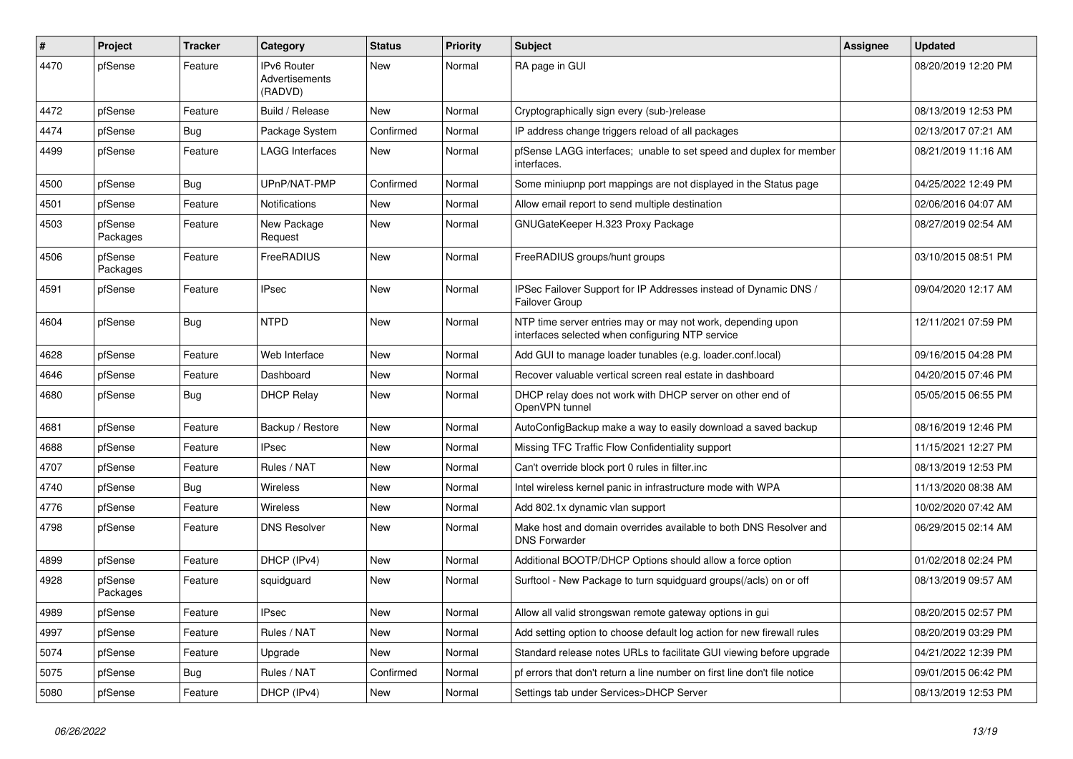| #    | Project             | Tracker    | Category                                        | <b>Status</b> | <b>Priority</b> | <b>Subject</b>                                                                                                  | <b>Assignee</b> | <b>Updated</b>      |
|------|---------------------|------------|-------------------------------------------------|---------------|-----------------|-----------------------------------------------------------------------------------------------------------------|-----------------|---------------------|
| 4470 | pfSense             | Feature    | <b>IPv6 Router</b><br>Advertisements<br>(RADVD) | <b>New</b>    | Normal          | RA page in GUI                                                                                                  |                 | 08/20/2019 12:20 PM |
| 4472 | pfSense             | Feature    | Build / Release                                 | <b>New</b>    | Normal          | Cryptographically sign every (sub-)release                                                                      |                 | 08/13/2019 12:53 PM |
| 4474 | pfSense             | <b>Bug</b> | Package System                                  | Confirmed     | Normal          | IP address change triggers reload of all packages                                                               |                 | 02/13/2017 07:21 AM |
| 4499 | pfSense             | Feature    | LAGG Interfaces                                 | New           | Normal          | pfSense LAGG interfaces; unable to set speed and duplex for member<br>interfaces.                               |                 | 08/21/2019 11:16 AM |
| 4500 | pfSense             | <b>Bug</b> | UPnP/NAT-PMP                                    | Confirmed     | Normal          | Some miniupnp port mappings are not displayed in the Status page                                                |                 | 04/25/2022 12:49 PM |
| 4501 | pfSense             | Feature    | Notifications                                   | New           | Normal          | Allow email report to send multiple destination                                                                 |                 | 02/06/2016 04:07 AM |
| 4503 | pfSense<br>Packages | Feature    | New Package<br>Request                          | <b>New</b>    | Normal          | GNUGateKeeper H.323 Proxy Package                                                                               |                 | 08/27/2019 02:54 AM |
| 4506 | pfSense<br>Packages | Feature    | FreeRADIUS                                      | <b>New</b>    | Normal          | FreeRADIUS groups/hunt groups                                                                                   |                 | 03/10/2015 08:51 PM |
| 4591 | pfSense             | Feature    | <b>IPsec</b>                                    | <b>New</b>    | Normal          | IPSec Failover Support for IP Addresses instead of Dynamic DNS /<br>Failover Group                              |                 | 09/04/2020 12:17 AM |
| 4604 | pfSense             | <b>Bug</b> | <b>NTPD</b>                                     | <b>New</b>    | Normal          | NTP time server entries may or may not work, depending upon<br>interfaces selected when configuring NTP service |                 | 12/11/2021 07:59 PM |
| 4628 | pfSense             | Feature    | Web Interface                                   | New           | Normal          | Add GUI to manage loader tunables (e.g. loader.conf.local)                                                      |                 | 09/16/2015 04:28 PM |
| 4646 | pfSense             | Feature    | Dashboard                                       | New           | Normal          | Recover valuable vertical screen real estate in dashboard                                                       |                 | 04/20/2015 07:46 PM |
| 4680 | pfSense             | <b>Bug</b> | <b>DHCP Relay</b>                               | New           | Normal          | DHCP relay does not work with DHCP server on other end of<br>OpenVPN tunnel                                     |                 | 05/05/2015 06:55 PM |
| 4681 | pfSense             | Feature    | Backup / Restore                                | New           | Normal          | AutoConfigBackup make a way to easily download a saved backup                                                   |                 | 08/16/2019 12:46 PM |
| 4688 | pfSense             | Feature    | <b>IPsec</b>                                    | New           | Normal          | Missing TFC Traffic Flow Confidentiality support                                                                |                 | 11/15/2021 12:27 PM |
| 4707 | pfSense             | Feature    | Rules / NAT                                     | New           | Normal          | Can't override block port 0 rules in filter.inc                                                                 |                 | 08/13/2019 12:53 PM |
| 4740 | pfSense             | <b>Bug</b> | Wireless                                        | New           | Normal          | Intel wireless kernel panic in infrastructure mode with WPA                                                     |                 | 11/13/2020 08:38 AM |
| 4776 | pfSense             | Feature    | Wireless                                        | New           | Normal          | Add 802.1x dynamic vlan support                                                                                 |                 | 10/02/2020 07:42 AM |
| 4798 | pfSense             | Feature    | <b>DNS Resolver</b>                             | New           | Normal          | Make host and domain overrides available to both DNS Resolver and<br><b>DNS Forwarder</b>                       |                 | 06/29/2015 02:14 AM |
| 4899 | pfSense             | Feature    | DHCP (IPv4)                                     | New           | Normal          | Additional BOOTP/DHCP Options should allow a force option                                                       |                 | 01/02/2018 02:24 PM |
| 4928 | pfSense<br>Packages | Feature    | squidguard                                      | New           | Normal          | Surftool - New Package to turn squidguard groups(/acls) on or off                                               |                 | 08/13/2019 09:57 AM |
| 4989 | pfSense             | Feature    | <b>IPsec</b>                                    | New           | Normal          | Allow all valid strongswan remote gateway options in gui                                                        |                 | 08/20/2015 02:57 PM |
| 4997 | pfSense             | Feature    | Rules / NAT                                     | New           | Normal          | Add setting option to choose default log action for new firewall rules                                          |                 | 08/20/2019 03:29 PM |
| 5074 | pfSense             | Feature    | Upgrade                                         | New           | Normal          | Standard release notes URLs to facilitate GUI viewing before upgrade                                            |                 | 04/21/2022 12:39 PM |
| 5075 | pfSense             | Bug        | Rules / NAT                                     | Confirmed     | Normal          | pf errors that don't return a line number on first line don't file notice                                       |                 | 09/01/2015 06:42 PM |
| 5080 | pfSense             | Feature    | DHCP (IPv4)                                     | New           | Normal          | Settings tab under Services>DHCP Server                                                                         |                 | 08/13/2019 12:53 PM |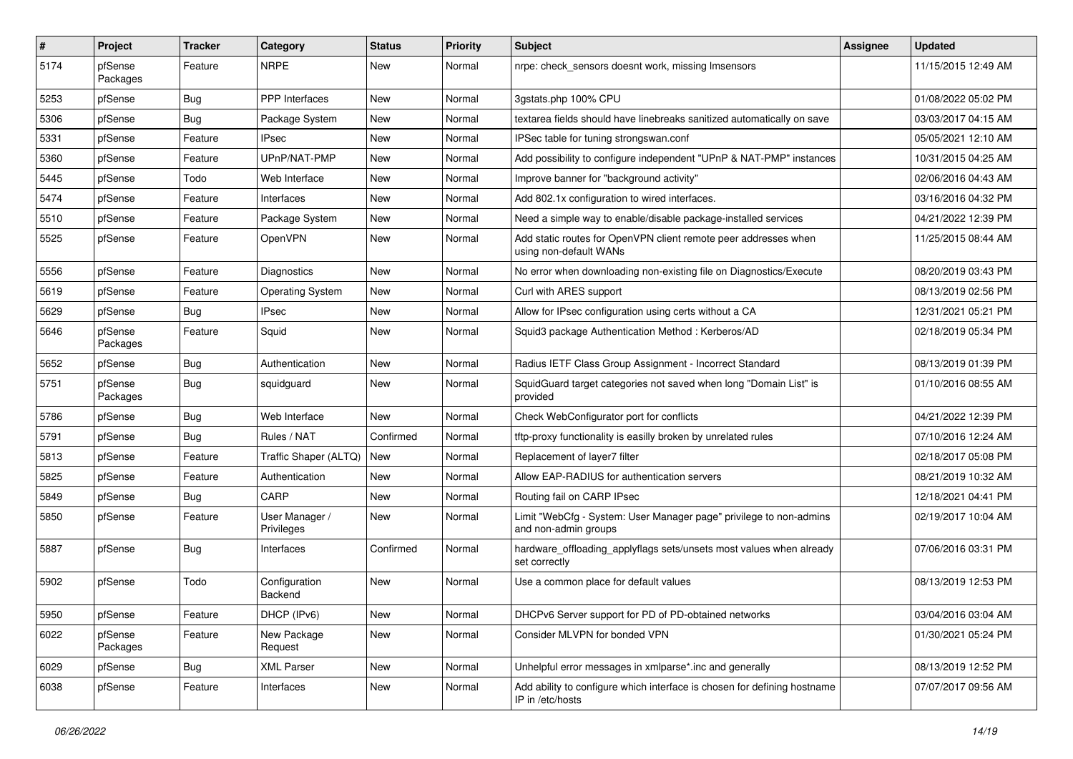| $\pmb{\#}$ | <b>Project</b>      | <b>Tracker</b> | Category                     | <b>Status</b> | <b>Priority</b> | <b>Subject</b>                                                                               | <b>Assignee</b> | Updated             |
|------------|---------------------|----------------|------------------------------|---------------|-----------------|----------------------------------------------------------------------------------------------|-----------------|---------------------|
| 5174       | pfSense<br>Packages | Feature        | <b>NRPE</b>                  | New           | Normal          | nrpe: check_sensors doesnt work, missing Imsensors                                           |                 | 11/15/2015 12:49 AM |
| 5253       | pfSense             | <b>Bug</b>     | <b>PPP</b> Interfaces        | <b>New</b>    | Normal          | 3gstats.php 100% CPU                                                                         |                 | 01/08/2022 05:02 PM |
| 5306       | pfSense             | <b>Bug</b>     | Package System               | New           | Normal          | textarea fields should have linebreaks sanitized automatically on save                       |                 | 03/03/2017 04:15 AM |
| 5331       | pfSense             | Feature        | IPsec                        | <b>New</b>    | Normal          | IPSec table for tuning strongswan.conf                                                       |                 | 05/05/2021 12:10 AM |
| 5360       | pfSense             | Feature        | UPnP/NAT-PMP                 | New           | Normal          | Add possibility to configure independent "UPnP & NAT-PMP" instances                          |                 | 10/31/2015 04:25 AM |
| 5445       | pfSense             | Todo           | Web Interface                | New           | Normal          | Improve banner for "background activity"                                                     |                 | 02/06/2016 04:43 AM |
| 5474       | pfSense             | Feature        | Interfaces                   | New           | Normal          | Add 802.1x configuration to wired interfaces.                                                |                 | 03/16/2016 04:32 PM |
| 5510       | pfSense             | Feature        | Package System               | New           | Normal          | Need a simple way to enable/disable package-installed services                               |                 | 04/21/2022 12:39 PM |
| 5525       | pfSense             | Feature        | OpenVPN                      | <b>New</b>    | Normal          | Add static routes for OpenVPN client remote peer addresses when<br>using non-default WANs    |                 | 11/25/2015 08:44 AM |
| 5556       | pfSense             | Feature        | <b>Diagnostics</b>           | <b>New</b>    | Normal          | No error when downloading non-existing file on Diagnostics/Execute                           |                 | 08/20/2019 03:43 PM |
| 5619       | pfSense             | Feature        | <b>Operating System</b>      | New           | Normal          | Curl with ARES support                                                                       |                 | 08/13/2019 02:56 PM |
| 5629       | pfSense             | Bug            | IPsec                        | New           | Normal          | Allow for IPsec configuration using certs without a CA                                       |                 | 12/31/2021 05:21 PM |
| 5646       | pfSense<br>Packages | Feature        | Squid                        | New           | Normal          | Squid3 package Authentication Method: Kerberos/AD                                            |                 | 02/18/2019 05:34 PM |
| 5652       | pfSense             | Bug            | Authentication               | <b>New</b>    | Normal          | Radius IETF Class Group Assignment - Incorrect Standard                                      |                 | 08/13/2019 01:39 PM |
| 5751       | pfSense<br>Packages | <b>Bug</b>     | squidguard                   | New           | Normal          | SquidGuard target categories not saved when long "Domain List" is<br>provided                |                 | 01/10/2016 08:55 AM |
| 5786       | pfSense             | <b>Bug</b>     | Web Interface                | <b>New</b>    | Normal          | Check WebConfigurator port for conflicts                                                     |                 | 04/21/2022 12:39 PM |
| 5791       | pfSense             | <b>Bug</b>     | Rules / NAT                  | Confirmed     | Normal          | tftp-proxy functionality is easilly broken by unrelated rules                                |                 | 07/10/2016 12:24 AM |
| 5813       | pfSense             | Feature        | Traffic Shaper (ALTQ)        | <b>New</b>    | Normal          | Replacement of layer7 filter                                                                 |                 | 02/18/2017 05:08 PM |
| 5825       | pfSense             | Feature        | Authentication               | New           | Normal          | Allow EAP-RADIUS for authentication servers                                                  |                 | 08/21/2019 10:32 AM |
| 5849       | pfSense             | <b>Bug</b>     | CARP                         | New           | Normal          | Routing fail on CARP IPsec                                                                   |                 | 12/18/2021 04:41 PM |
| 5850       | pfSense             | Feature        | User Manager /<br>Privileges | New           | Normal          | Limit "WebCfg - System: User Manager page" privilege to non-admins<br>and non-admin groups   |                 | 02/19/2017 10:04 AM |
| 5887       | pfSense             | <b>Bug</b>     | Interfaces                   | Confirmed     | Normal          | hardware_offloading_applyflags sets/unsets most values when already<br>set correctly         |                 | 07/06/2016 03:31 PM |
| 5902       | pfSense             | Todo           | Configuration<br>Backend     | New           | Normal          | Use a common place for default values                                                        |                 | 08/13/2019 12:53 PM |
| 5950       | pfSense             | Feature        | DHCP (IPv6)                  | New           | Normal          | DHCPv6 Server support for PD of PD-obtained networks                                         |                 | 03/04/2016 03:04 AM |
| 6022       | pfSense<br>Packages | Feature        | New Package<br>Request       | New           | Normal          | Consider MLVPN for bonded VPN                                                                |                 | 01/30/2021 05:24 PM |
| 6029       | pfSense             | Bug            | <b>XML Parser</b>            | New           | Normal          | Unhelpful error messages in xmlparse*.inc and generally                                      |                 | 08/13/2019 12:52 PM |
| 6038       | pfSense             | Feature        | Interfaces                   | New           | Normal          | Add ability to configure which interface is chosen for defining hostname<br>IP in /etc/hosts |                 | 07/07/2017 09:56 AM |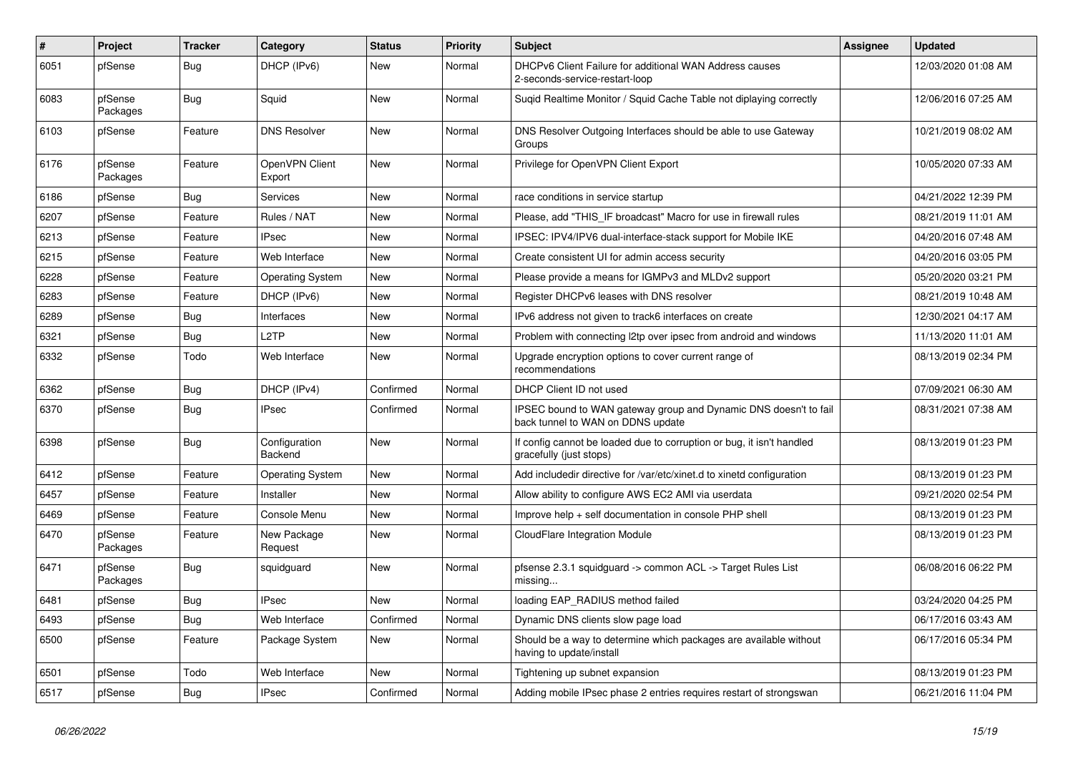| #    | Project             | <b>Tracker</b> | Category                 | <b>Status</b> | <b>Priority</b> | <b>Subject</b>                                                                                        | <b>Assignee</b> | <b>Updated</b>      |
|------|---------------------|----------------|--------------------------|---------------|-----------------|-------------------------------------------------------------------------------------------------------|-----------------|---------------------|
| 6051 | pfSense             | <b>Bug</b>     | DHCP (IPv6)              | New           | Normal          | DHCPv6 Client Failure for additional WAN Address causes<br>2-seconds-service-restart-loop             |                 | 12/03/2020 01:08 AM |
| 6083 | pfSense<br>Packages | <b>Bug</b>     | Squid                    | <b>New</b>    | Normal          | Suqid Realtime Monitor / Squid Cache Table not diplaying correctly                                    |                 | 12/06/2016 07:25 AM |
| 6103 | pfSense             | Feature        | <b>DNS Resolver</b>      | <b>New</b>    | Normal          | DNS Resolver Outgoing Interfaces should be able to use Gateway<br>Groups                              |                 | 10/21/2019 08:02 AM |
| 6176 | pfSense<br>Packages | Feature        | OpenVPN Client<br>Export | New           | Normal          | Privilege for OpenVPN Client Export                                                                   |                 | 10/05/2020 07:33 AM |
| 6186 | pfSense             | <b>Bug</b>     | Services                 | New           | Normal          | race conditions in service startup                                                                    |                 | 04/21/2022 12:39 PM |
| 6207 | pfSense             | Feature        | Rules / NAT              | <b>New</b>    | Normal          | Please, add "THIS IF broadcast" Macro for use in firewall rules                                       |                 | 08/21/2019 11:01 AM |
| 6213 | pfSense             | Feature        | <b>IPsec</b>             | New           | Normal          | IPSEC: IPV4/IPV6 dual-interface-stack support for Mobile IKE                                          |                 | 04/20/2016 07:48 AM |
| 6215 | pfSense             | Feature        | Web Interface            | New           | Normal          | Create consistent UI for admin access security                                                        |                 | 04/20/2016 03:05 PM |
| 6228 | pfSense             | Feature        | <b>Operating System</b>  | New           | Normal          | Please provide a means for IGMPv3 and MLDv2 support                                                   |                 | 05/20/2020 03:21 PM |
| 6283 | pfSense             | Feature        | DHCP (IPv6)              | New           | Normal          | Register DHCPv6 leases with DNS resolver                                                              |                 | 08/21/2019 10:48 AM |
| 6289 | pfSense             | Bug            | Interfaces               | New           | Normal          | IPv6 address not given to track6 interfaces on create                                                 |                 | 12/30/2021 04:17 AM |
| 6321 | pfSense             | Bug            | L <sub>2</sub> TP        | New           | Normal          | Problem with connecting I2tp over ipsec from android and windows                                      |                 | 11/13/2020 11:01 AM |
| 6332 | pfSense             | Todo           | Web Interface            | New           | Normal          | Upgrade encryption options to cover current range of<br>recommendations                               |                 | 08/13/2019 02:34 PM |
| 6362 | pfSense             | <b>Bug</b>     | DHCP (IPv4)              | Confirmed     | Normal          | DHCP Client ID not used                                                                               |                 | 07/09/2021 06:30 AM |
| 6370 | pfSense             | <b>Bug</b>     | <b>IPsec</b>             | Confirmed     | Normal          | IPSEC bound to WAN gateway group and Dynamic DNS doesn't to fail<br>back tunnel to WAN on DDNS update |                 | 08/31/2021 07:38 AM |
| 6398 | pfSense             | <b>Bug</b>     | Configuration<br>Backend | New           | Normal          | If config cannot be loaded due to corruption or bug, it isn't handled<br>gracefully (just stops)      |                 | 08/13/2019 01:23 PM |
| 6412 | pfSense             | Feature        | <b>Operating System</b>  | New           | Normal          | Add includedir directive for /var/etc/xinet.d to xinetd configuration                                 |                 | 08/13/2019 01:23 PM |
| 6457 | pfSense             | Feature        | Installer                | New           | Normal          | Allow ability to configure AWS EC2 AMI via userdata                                                   |                 | 09/21/2020 02:54 PM |
| 6469 | pfSense             | Feature        | Console Menu             | New           | Normal          | Improve help + self documentation in console PHP shell                                                |                 | 08/13/2019 01:23 PM |
| 6470 | pfSense<br>Packages | Feature        | New Package<br>Request   | New           | Normal          | CloudFlare Integration Module                                                                         |                 | 08/13/2019 01:23 PM |
| 6471 | pfSense<br>Packages | <b>Bug</b>     | squidguard               | New           | Normal          | pfsense 2.3.1 squidguard -> common ACL -> Target Rules List<br>missing                                |                 | 06/08/2016 06:22 PM |
| 6481 | pfSense             | <b>Bug</b>     | <b>IPsec</b>             | New           | Normal          | loading EAP RADIUS method failed                                                                      |                 | 03/24/2020 04:25 PM |
| 6493 | pfSense             | <b>Bug</b>     | Web Interface            | Confirmed     | Normal          | Dynamic DNS clients slow page load                                                                    |                 | 06/17/2016 03:43 AM |
| 6500 | pfSense             | Feature        | Package System           | New           | Normal          | Should be a way to determine which packages are available without<br>having to update/install         |                 | 06/17/2016 05:34 PM |
| 6501 | pfSense             | Todo           | Web Interface            | New           | Normal          | Tightening up subnet expansion                                                                        |                 | 08/13/2019 01:23 PM |
| 6517 | pfSense             | Bug            | <b>IPsec</b>             | Confirmed     | Normal          | Adding mobile IPsec phase 2 entries requires restart of strongswan                                    |                 | 06/21/2016 11:04 PM |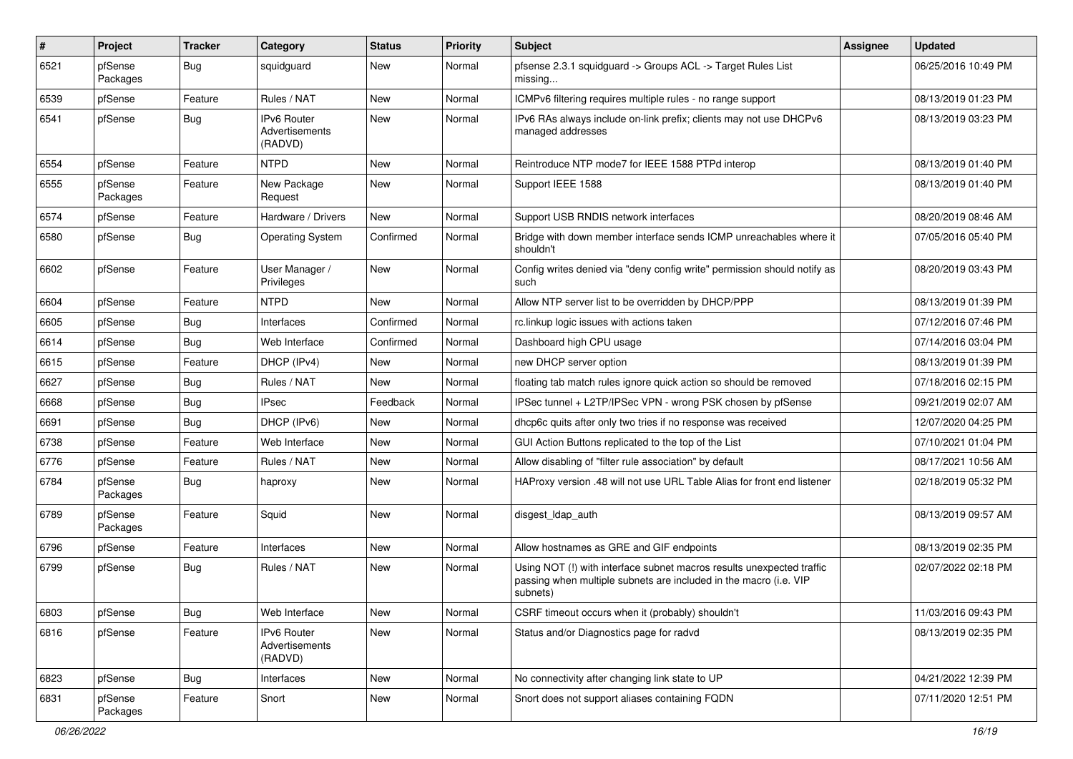| #    | Project             | <b>Tracker</b> | Category                                 | <b>Status</b> | <b>Priority</b> | <b>Subject</b>                                                                                                                                         | <b>Assignee</b> | <b>Updated</b>      |
|------|---------------------|----------------|------------------------------------------|---------------|-----------------|--------------------------------------------------------------------------------------------------------------------------------------------------------|-----------------|---------------------|
| 6521 | pfSense<br>Packages | <b>Bug</b>     | squidguard                               | New           | Normal          | pfsense 2.3.1 squidguard -> Groups ACL -> Target Rules List<br>missing                                                                                 |                 | 06/25/2016 10:49 PM |
| 6539 | pfSense             | Feature        | Rules / NAT                              | <b>New</b>    | Normal          | ICMPv6 filtering requires multiple rules - no range support                                                                                            |                 | 08/13/2019 01:23 PM |
| 6541 | pfSense             | <b>Bug</b>     | IPv6 Router<br>Advertisements<br>(RADVD) | New           | Normal          | IPv6 RAs always include on-link prefix; clients may not use DHCPv6<br>managed addresses                                                                |                 | 08/13/2019 03:23 PM |
| 6554 | pfSense             | Feature        | <b>NTPD</b>                              | New           | Normal          | Reintroduce NTP mode7 for IEEE 1588 PTPd interop                                                                                                       |                 | 08/13/2019 01:40 PM |
| 6555 | pfSense<br>Packages | Feature        | New Package<br>Request                   | New           | Normal          | Support IEEE 1588                                                                                                                                      |                 | 08/13/2019 01:40 PM |
| 6574 | pfSense             | Feature        | Hardware / Drivers                       | <b>New</b>    | Normal          | Support USB RNDIS network interfaces                                                                                                                   |                 | 08/20/2019 08:46 AM |
| 6580 | pfSense             | <b>Bug</b>     | <b>Operating System</b>                  | Confirmed     | Normal          | Bridge with down member interface sends ICMP unreachables where it<br>shouldn't                                                                        |                 | 07/05/2016 05:40 PM |
| 6602 | pfSense             | Feature        | User Manager /<br>Privileges             | New           | Normal          | Config writes denied via "deny config write" permission should notify as<br>such                                                                       |                 | 08/20/2019 03:43 PM |
| 6604 | pfSense             | Feature        | <b>NTPD</b>                              | New           | Normal          | Allow NTP server list to be overridden by DHCP/PPP                                                                                                     |                 | 08/13/2019 01:39 PM |
| 6605 | pfSense             | <b>Bug</b>     | Interfaces                               | Confirmed     | Normal          | rc.linkup logic issues with actions taken                                                                                                              |                 | 07/12/2016 07:46 PM |
| 6614 | pfSense             | Bug            | Web Interface                            | Confirmed     | Normal          | Dashboard high CPU usage                                                                                                                               |                 | 07/14/2016 03:04 PM |
| 6615 | pfSense             | Feature        | DHCP (IPv4)                              | New           | Normal          | new DHCP server option                                                                                                                                 |                 | 08/13/2019 01:39 PM |
| 6627 | pfSense             | <b>Bug</b>     | Rules / NAT                              | New           | Normal          | floating tab match rules ignore quick action so should be removed                                                                                      |                 | 07/18/2016 02:15 PM |
| 6668 | pfSense             | <b>Bug</b>     | <b>IPsec</b>                             | Feedback      | Normal          | IPSec tunnel + L2TP/IPSec VPN - wrong PSK chosen by pfSense                                                                                            |                 | 09/21/2019 02:07 AM |
| 6691 | pfSense             | Bug            | DHCP (IPv6)                              | New           | Normal          | dhcp6c quits after only two tries if no response was received                                                                                          |                 | 12/07/2020 04:25 PM |
| 6738 | pfSense             | Feature        | Web Interface                            | New           | Normal          | GUI Action Buttons replicated to the top of the List                                                                                                   |                 | 07/10/2021 01:04 PM |
| 6776 | pfSense             | Feature        | Rules / NAT                              | New           | Normal          | Allow disabling of "filter rule association" by default                                                                                                |                 | 08/17/2021 10:56 AM |
| 6784 | pfSense<br>Packages | <b>Bug</b>     | haproxy                                  | New           | Normal          | HAProxy version .48 will not use URL Table Alias for front end listener                                                                                |                 | 02/18/2019 05:32 PM |
| 6789 | pfSense<br>Packages | Feature        | Squid                                    | <b>New</b>    | Normal          | disgest_ldap_auth                                                                                                                                      |                 | 08/13/2019 09:57 AM |
| 6796 | pfSense             | Feature        | Interfaces                               | <b>New</b>    | Normal          | Allow hostnames as GRE and GIF endpoints                                                                                                               |                 | 08/13/2019 02:35 PM |
| 6799 | pfSense             | <b>Bug</b>     | Rules / NAT                              | New           | Normal          | Using NOT (!) with interface subnet macros results unexpected traffic<br>passing when multiple subnets are included in the macro (i.e. VIP<br>subnets) |                 | 02/07/2022 02:18 PM |
| 6803 | pfSense             | Bug            | Web Interface                            | New           | Normal          | CSRF timeout occurs when it (probably) shouldn't                                                                                                       |                 | 11/03/2016 09:43 PM |
| 6816 | pfSense             | Feature        | IPv6 Router<br>Advertisements<br>(RADVD) | New           | Normal          | Status and/or Diagnostics page for radvd                                                                                                               |                 | 08/13/2019 02:35 PM |
| 6823 | pfSense             | <b>Bug</b>     | Interfaces                               | New           | Normal          | No connectivity after changing link state to UP                                                                                                        |                 | 04/21/2022 12:39 PM |
| 6831 | pfSense<br>Packages | Feature        | Snort                                    | New           | Normal          | Snort does not support aliases containing FQDN                                                                                                         |                 | 07/11/2020 12:51 PM |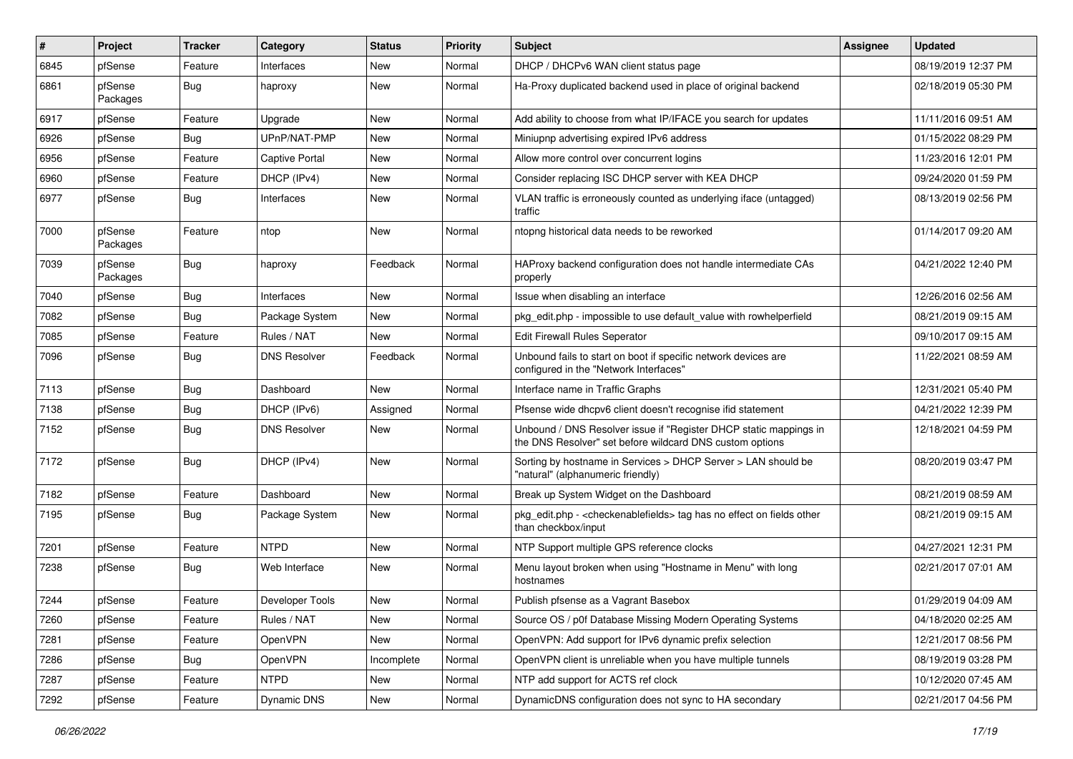| $\vert$ # | Project             | <b>Tracker</b> | Category            | <b>Status</b> | <b>Priority</b> | <b>Subject</b>                                                                                                                | <b>Assignee</b> | <b>Updated</b>      |
|-----------|---------------------|----------------|---------------------|---------------|-----------------|-------------------------------------------------------------------------------------------------------------------------------|-----------------|---------------------|
| 6845      | pfSense             | Feature        | Interfaces          | New           | Normal          | DHCP / DHCPv6 WAN client status page                                                                                          |                 | 08/19/2019 12:37 PM |
| 6861      | pfSense<br>Packages | Bug            | haproxy             | New           | Normal          | Ha-Proxy duplicated backend used in place of original backend                                                                 |                 | 02/18/2019 05:30 PM |
| 6917      | pfSense             | Feature        | Upgrade             | New           | Normal          | Add ability to choose from what IP/IFACE you search for updates                                                               |                 | 11/11/2016 09:51 AM |
| 6926      | pfSense             | Bug            | UPnP/NAT-PMP        | New           | Normal          | Miniupnp advertising expired IPv6 address                                                                                     |                 | 01/15/2022 08:29 PM |
| 6956      | pfSense             | Feature        | Captive Portal      | New           | Normal          | Allow more control over concurrent logins                                                                                     |                 | 11/23/2016 12:01 PM |
| 6960      | pfSense             | Feature        | DHCP (IPv4)         | New           | Normal          | Consider replacing ISC DHCP server with KEA DHCP                                                                              |                 | 09/24/2020 01:59 PM |
| 6977      | pfSense             | Bug            | Interfaces          | New           | Normal          | VLAN traffic is erroneously counted as underlying iface (untagged)<br>traffic                                                 |                 | 08/13/2019 02:56 PM |
| 7000      | pfSense<br>Packages | Feature        | ntop                | New           | Normal          | ntopng historical data needs to be reworked                                                                                   |                 | 01/14/2017 09:20 AM |
| 7039      | pfSense<br>Packages | <b>Bug</b>     | haproxy             | Feedback      | Normal          | HAProxy backend configuration does not handle intermediate CAs<br>properly                                                    |                 | 04/21/2022 12:40 PM |
| 7040      | pfSense             | Bug            | Interfaces          | New           | Normal          | Issue when disabling an interface                                                                                             |                 | 12/26/2016 02:56 AM |
| 7082      | pfSense             | Bug            | Package System      | New           | Normal          | pkg_edit.php - impossible to use default_value with rowhelperfield                                                            |                 | 08/21/2019 09:15 AM |
| 7085      | pfSense             | Feature        | Rules / NAT         | <b>New</b>    | Normal          | Edit Firewall Rules Seperator                                                                                                 |                 | 09/10/2017 09:15 AM |
| 7096      | pfSense             | Bug            | <b>DNS Resolver</b> | Feedback      | Normal          | Unbound fails to start on boot if specific network devices are<br>configured in the "Network Interfaces"                      |                 | 11/22/2021 08:59 AM |
| 7113      | pfSense             | Bug            | Dashboard           | New           | Normal          | Interface name in Traffic Graphs                                                                                              |                 | 12/31/2021 05:40 PM |
| 7138      | pfSense             | <b>Bug</b>     | DHCP (IPv6)         | Assigned      | Normal          | Pfsense wide dhcpv6 client doesn't recognise ifid statement                                                                   |                 | 04/21/2022 12:39 PM |
| 7152      | pfSense             | Bug            | <b>DNS Resolver</b> | New           | Normal          | Unbound / DNS Resolver issue if "Register DHCP static mappings in<br>the DNS Resolver" set before wildcard DNS custom options |                 | 12/18/2021 04:59 PM |
| 7172      | pfSense             | Bug            | DHCP (IPv4)         | New           | Normal          | Sorting by hostname in Services > DHCP Server > LAN should be<br>"natural" (alphanumeric friendly)                            |                 | 08/20/2019 03:47 PM |
| 7182      | pfSense             | Feature        | Dashboard           | New           | Normal          | Break up System Widget on the Dashboard                                                                                       |                 | 08/21/2019 08:59 AM |
| 7195      | pfSense             | <b>Bug</b>     | Package System      | New           | Normal          | pkg_edit.php - <checkenablefields> tag has no effect on fields other<br/>than checkbox/input</checkenablefields>              |                 | 08/21/2019 09:15 AM |
| 7201      | pfSense             | Feature        | <b>NTPD</b>         | New           | Normal          | NTP Support multiple GPS reference clocks                                                                                     |                 | 04/27/2021 12:31 PM |
| 7238      | pfSense             | Bug            | Web Interface       | New           | Normal          | Menu layout broken when using "Hostname in Menu" with long<br>hostnames                                                       |                 | 02/21/2017 07:01 AM |
| 7244      | pfSense             | Feature        | Developer Tools     | New           | Normal          | Publish pfsense as a Vagrant Basebox                                                                                          |                 | 01/29/2019 04:09 AM |
| 7260      | pfSense             | Feature        | Rules / NAT         | New           | Normal          | Source OS / p0f Database Missing Modern Operating Systems                                                                     |                 | 04/18/2020 02:25 AM |
| 7281      | pfSense             | Feature        | OpenVPN             | New           | Normal          | OpenVPN: Add support for IPv6 dynamic prefix selection                                                                        |                 | 12/21/2017 08:56 PM |
| 7286      | pfSense             | <b>Bug</b>     | <b>OpenVPN</b>      | Incomplete    | Normal          | OpenVPN client is unreliable when you have multiple tunnels                                                                   |                 | 08/19/2019 03:28 PM |
| 7287      | pfSense             | Feature        | <b>NTPD</b>         | New           | Normal          | NTP add support for ACTS ref clock                                                                                            |                 | 10/12/2020 07:45 AM |
| 7292      | pfSense             | Feature        | Dynamic DNS         | New           | Normal          | DynamicDNS configuration does not sync to HA secondary                                                                        |                 | 02/21/2017 04:56 PM |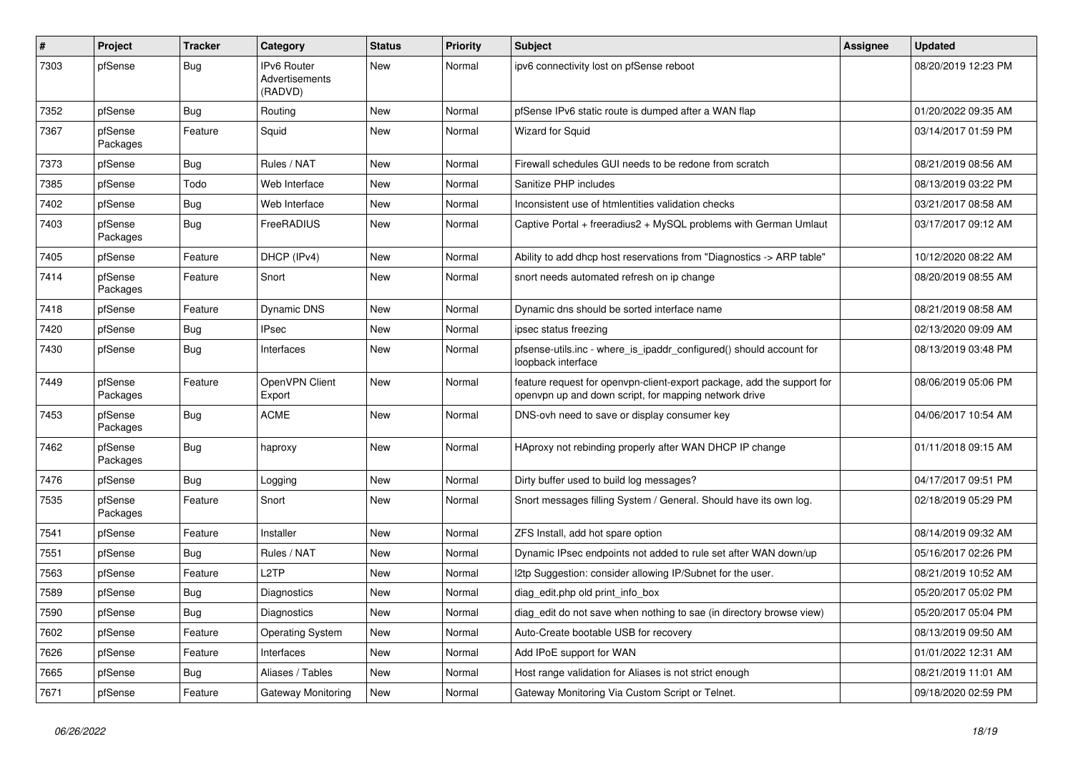| #    | <b>Project</b>      | <b>Tracker</b> | Category                                 | <b>Status</b> | <b>Priority</b> | <b>Subject</b>                                                                                                                  | Assignee | <b>Updated</b>      |
|------|---------------------|----------------|------------------------------------------|---------------|-----------------|---------------------------------------------------------------------------------------------------------------------------------|----------|---------------------|
| 7303 | pfSense             | <b>Bug</b>     | IPv6 Router<br>Advertisements<br>(RADVD) | New           | Normal          | ipv6 connectivity lost on pfSense reboot                                                                                        |          | 08/20/2019 12:23 PM |
| 7352 | pfSense             | Bug            | Routing                                  | <b>New</b>    | Normal          | pfSense IPv6 static route is dumped after a WAN flap                                                                            |          | 01/20/2022 09:35 AM |
| 7367 | pfSense<br>Packages | Feature        | Squid                                    | New           | Normal          | <b>Wizard for Squid</b>                                                                                                         |          | 03/14/2017 01:59 PM |
| 7373 | pfSense             | <b>Bug</b>     | Rules / NAT                              | <b>New</b>    | Normal          | Firewall schedules GUI needs to be redone from scratch                                                                          |          | 08/21/2019 08:56 AM |
| 7385 | pfSense             | Todo           | Web Interface                            | <b>New</b>    | Normal          | Sanitize PHP includes                                                                                                           |          | 08/13/2019 03:22 PM |
| 7402 | pfSense             | Bug            | Web Interface                            | New           | Normal          | Inconsistent use of htmlentities validation checks                                                                              |          | 03/21/2017 08:58 AM |
| 7403 | pfSense<br>Packages | Bug            | FreeRADIUS                               | New           | Normal          | Captive Portal + freeradius2 + MySQL problems with German Umlaut                                                                |          | 03/17/2017 09:12 AM |
| 7405 | pfSense             | Feature        | DHCP (IPv4)                              | <b>New</b>    | Normal          | Ability to add dhcp host reservations from "Diagnostics -> ARP table"                                                           |          | 10/12/2020 08:22 AM |
| 7414 | pfSense<br>Packages | Feature        | Snort                                    | New           | Normal          | snort needs automated refresh on ip change                                                                                      |          | 08/20/2019 08:55 AM |
| 7418 | pfSense             | Feature        | <b>Dynamic DNS</b>                       | <b>New</b>    | Normal          | Dynamic dns should be sorted interface name                                                                                     |          | 08/21/2019 08:58 AM |
| 7420 | pfSense             | Bug            | <b>IPsec</b>                             | New           | Normal          | ipsec status freezing                                                                                                           |          | 02/13/2020 09:09 AM |
| 7430 | pfSense             | <b>Bug</b>     | Interfaces                               | <b>New</b>    | Normal          | pfsense-utils.inc - where_is_ipaddr_configured() should account for<br>loopback interface                                       |          | 08/13/2019 03:48 PM |
| 7449 | pfSense<br>Packages | Feature        | OpenVPN Client<br>Export                 | New           | Normal          | feature request for openvpn-client-export package, add the support for<br>openypn up and down script, for mapping network drive |          | 08/06/2019 05:06 PM |
| 7453 | pfSense<br>Packages | Bug            | <b>ACME</b>                              | New           | Normal          | DNS-ovh need to save or display consumer key                                                                                    |          | 04/06/2017 10:54 AM |
| 7462 | pfSense<br>Packages | <b>Bug</b>     | haproxy                                  | <b>New</b>    | Normal          | HAproxy not rebinding properly after WAN DHCP IP change                                                                         |          | 01/11/2018 09:15 AM |
| 7476 | pfSense             | Bug            | Logging                                  | New           | Normal          | Dirty buffer used to build log messages?                                                                                        |          | 04/17/2017 09:51 PM |
| 7535 | pfSense<br>Packages | Feature        | Snort                                    | New           | Normal          | Snort messages filling System / General. Should have its own log.                                                               |          | 02/18/2019 05:29 PM |
| 7541 | pfSense             | Feature        | Installer                                | New           | Normal          | ZFS Install, add hot spare option                                                                                               |          | 08/14/2019 09:32 AM |
| 7551 | pfSense             | Bug            | Rules / NAT                              | New           | Normal          | Dynamic IPsec endpoints not added to rule set after WAN down/up                                                                 |          | 05/16/2017 02:26 PM |
| 7563 | pfSense             | Feature        | L <sub>2</sub> TP                        | New           | Normal          | I2tp Suggestion: consider allowing IP/Subnet for the user.                                                                      |          | 08/21/2019 10:52 AM |
| 7589 | pfSense             | Bug            | Diagnostics                              | <b>New</b>    | Normal          | diag_edit.php old print_info_box                                                                                                |          | 05/20/2017 05:02 PM |
| 7590 | pfSense             | <b>Bug</b>     | Diagnostics                              | <b>New</b>    | Normal          | diag edit do not save when nothing to sae (in directory browse view)                                                            |          | 05/20/2017 05:04 PM |
| 7602 | pfSense             | Feature        | Operating System                         | New           | Normal          | Auto-Create bootable USB for recovery                                                                                           |          | 08/13/2019 09:50 AM |
| 7626 | pfSense             | Feature        | Interfaces                               | <b>New</b>    | Normal          | Add IPoE support for WAN                                                                                                        |          | 01/01/2022 12:31 AM |
| 7665 | pfSense             | Bug            | Aliases / Tables                         | <b>New</b>    | Normal          | Host range validation for Aliases is not strict enough                                                                          |          | 08/21/2019 11:01 AM |
| 7671 | pfSense             | Feature        | Gateway Monitoring                       | <b>New</b>    | Normal          | Gateway Monitoring Via Custom Script or Telnet.                                                                                 |          | 09/18/2020 02:59 PM |